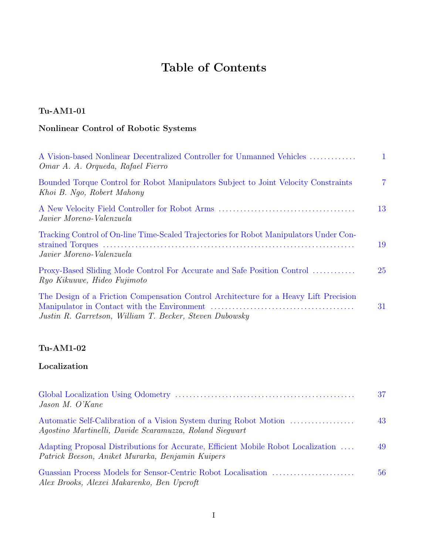# **Table of Contents**

## **Tu-AM1-01**

# **Nonlinear Control of Robotic Systems**

| A Vision-based Nonlinear Decentralized Controller for Unmanned Vehicles<br>Omar A. A. Orqueda, Rafael Fierro                                     | 1              |
|--------------------------------------------------------------------------------------------------------------------------------------------------|----------------|
| Bounded Torque Control for Robot Manipulators Subject to Joint Velocity Constraints<br>Khoi B. Ngo, Robert Mahony                                | $\overline{7}$ |
| Javier Moreno-Valenzuela                                                                                                                         | 13             |
| Tracking Control of On-line Time-Scaled Trajectories for Robot Manipulators Under Con-<br>Javier Moreno-Valenzuela                               | 19             |
| Proxy-Based Sliding Mode Control For Accurate and Safe Position Control<br>Ryo Kikuuwe, Hideo Fujimoto                                           | 25             |
| The Design of a Friction Compensation Control Architecture for a Heavy Lift Precision<br>Justin R. Garretson, William T. Becker, Steven Dubowsky | 31             |

## **Tu-AM1-02**

### **Localization**

| Jason M. O'Kane                                                                                                                                                                     | 37 |
|-------------------------------------------------------------------------------------------------------------------------------------------------------------------------------------|----|
| Automatic Self-Calibration of a Vision System during Robot Motion<br>Agostino Martinelli, Davide Scaramuzza, Roland Siegwart                                                        | 43 |
| Adapting Proposal Distributions for Accurate, Efficient Mobile Robot Localization<br>Patrick Beeson, Aniket Murarka, Benjamin Kuipers<br>Alex Brooks, Alexei Makarenko, Ben Upcroft | 49 |
|                                                                                                                                                                                     | 56 |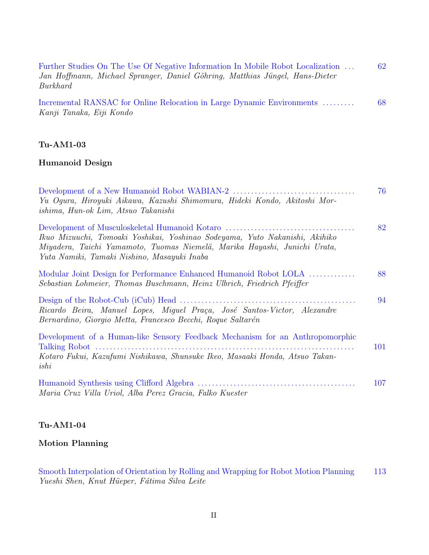| Further Studies On The Use Of Negative Information In Mobile Robot Localization | 62 |
|---------------------------------------------------------------------------------|----|
| Jan Hoffmann, Michael Spranger, Daniel Göhring, Matthias Jüngel, Hans-Dieter    |    |
| Burkhard                                                                        |    |
|                                                                                 |    |

Incremental RANSAC for Online Relocation in Large Dynamic Environments . . . . . . . . . 68 Kanji Tanaka, Eiji Kondo

#### **Tu-AM1-03**

#### **Humanoid Design**

| Yu Ogura, Hiroyuki Aikawa, Kazushi Shimomura, Hideki Kondo, Akitoshi Mor-<br>ishima, Hun-ok Lim, Atsuo Takanishi                                                                                        | 76  |
|---------------------------------------------------------------------------------------------------------------------------------------------------------------------------------------------------------|-----|
| Ikuo Mizuuchi, Tomoaki Yoshikai, Yoshinao Sodeyama, Yuto Nakanishi, Akihiko<br>Miyadera, Taichi Yamamoto, Tuomas Niemelä, Marika Hayashi, Junichi Urata,<br>Yuta Namiki, Tamaki Nishino, Masayuki Inaba | 82  |
| Modular Joint Design for Performance Enhanced Humanoid Robot LOLA<br>Sebastian Lohmeier, Thomas Buschmann, Heinz Ulbrich, Friedrich Pfeiffer                                                            | 88  |
| Ricardo Beira, Manuel Lopes, Miguel Praça, José Santos-Victor, Alexandre<br>Bernardino, Giorgio Metta, Francesco Becchi, Roque Saltarén                                                                 | 94  |
| Development of a Human-like Sensory Feedback Mechanism for an Anthropomorphic<br>Kotaro Fukui, Kazufumi Nishikawa, Shunsuke Ikeo, Masaaki Honda, Atsuo Takan-<br>ishi                                   | 101 |
| Maria Cruz Villa Uriol, Alba Perez Gracia, Falko Kuester                                                                                                                                                | 107 |

#### **Tu-AM1-04**

#### **Motion Planning**

Smooth Interpolation of Orientation by Rolling and Wrapping for Robot Motion Planning 113 Yueshi Shen, Knut Hüeper, Fátima Silva Leite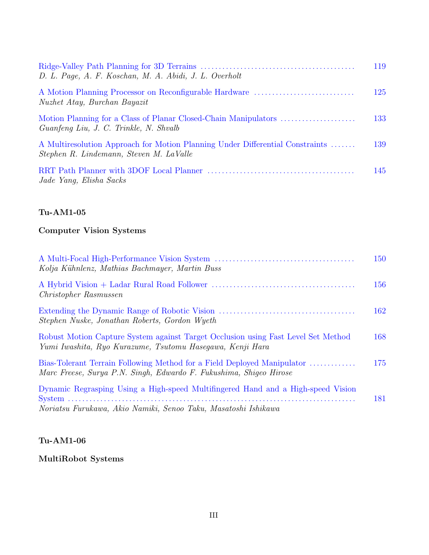| D. L. Page, A. F. Koschan, M. A. Abidi, J. L. Overholt                                                                   | 119 |
|--------------------------------------------------------------------------------------------------------------------------|-----|
| A Motion Planning Processor on Reconfigurable Hardware<br>Nuzhet Atay, Burchan Bayazit                                   | 125 |
| Motion Planning for a Class of Planar Closed-Chain Manipulators<br>Guanfeng Liu, J. C. Trinkle, N. Shvalb                | 133 |
| A Multiresolution Approach for Motion Planning Under Differential Constraints<br>Stephen R. Lindemann, Steven M. LaValle | 139 |
| Jade Yang, Elisha Sacks                                                                                                  | 145 |

### **Computer Vision Systems**

| Kolja Kühnlenz, Mathias Bachmayer, Martin Buss                                                                                                     | 150 |
|----------------------------------------------------------------------------------------------------------------------------------------------------|-----|
| <i>Christopher Rasmussen</i>                                                                                                                       | 156 |
| Stephen Nuske, Jonathan Roberts, Gordon Wyeth                                                                                                      | 162 |
| Robust Motion Capture System against Target Occlusion using Fast Level Set Method<br>Yumi Iwashita, Ryo Kurazume, Tsutomu Hasegawa, Kenji Hara     | 168 |
| Bias-Tolerant Terrain Following Method for a Field Deployed Manipulator<br>Marc Freese, Surya P.N. Singh, Edwardo F. Fukushima, Shigeo Hirose      | 175 |
| Dynamic Regrasping Using a High-speed Multifingered Hand and a High-speed Vision<br>Noriatsu Furukawa, Akio Namiki, Senoo Taku, Masatoshi Ishikawa | 181 |

## **Tu-AM1-06**

**MultiRobot Systems**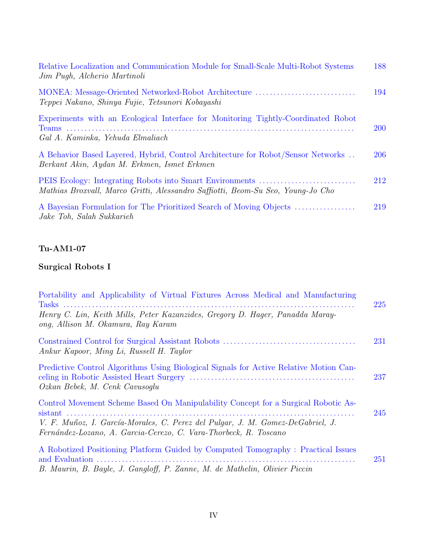| Relative Localization and Communication Module for Small-Scale Multi-Robot Systems<br>Jim Pugh, Alcherio Martinoli              | 188        |
|---------------------------------------------------------------------------------------------------------------------------------|------------|
| MONEA: Message-Oriented Networked-Robot Architecture<br>Teppei Nakano, Shinya Fujie, Tetsunori Kobayashi                        | 194        |
| Experiments with an Ecological Interface for Monitoring Tightly-Coordinated Robot<br>Gal A. Kaminka, Yehuda Elmaliach           | <b>200</b> |
| A Behavior Based Layered, Hybrid, Control Architecture for Robot/Sensor Networks<br>Berkant Akin, Aydan M. Erkmen, Ismet Erkmen | 206        |
| Mathias Broxvall, Marco Gritti, Alessandro Saffiotti, Beom-Su Seo, Young-Jo Cho                                                 | 212        |
| A Bayesian Formulation for The Prioritized Search of Moving Objects<br>Jake Toh, Salah Sukkarieh                                | 219        |

# **Surgical Robots I**

| Portability and Applicability of Virtual Fixtures Across Medical and Manufacturing<br>Henry C. Lin, Keith Mills, Peter Kazanzides, Gregory D. Hager, Panadda Maray- | 225 |
|---------------------------------------------------------------------------------------------------------------------------------------------------------------------|-----|
| ong, Allison M. Okamura, Ray Karam                                                                                                                                  |     |
| Ankur Kapoor, Ming Li, Russell H. Taylor                                                                                                                            | 231 |
| Predictive Control Algorithms Using Biological Signals for Active Relative Motion Can-<br>Ozkan Bebek, M. Cenk Cavusoqlu                                            | 237 |
| Control Movement Scheme Based On Manipulability Concept for a Surgical Robotic As-                                                                                  | 245 |
| V. F. Muñoz, I. García-Morales, C. Perez del Pulgar, J. M. Gomez-DeGabriel, J.<br>Fernández-Lozano, A. Garcia-Cerezo, C. Vara-Thorbeck, R. Toscano                  |     |
| A Robotized Positioning Platform Guided by Computed Tomography : Practical Issues                                                                                   | 251 |
| B. Maurin, B. Bayle, J. Gangloff, P. Zanne, M. de Mathelin, Olivier Piccin                                                                                          |     |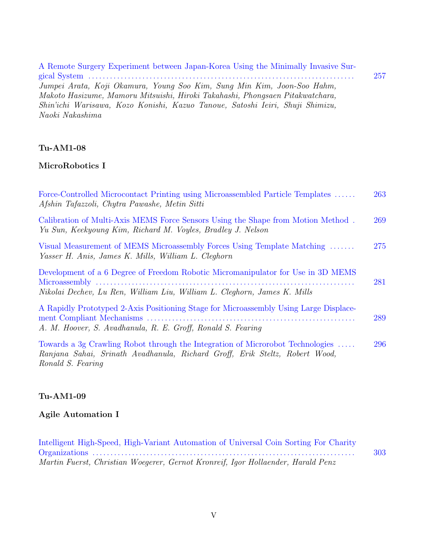| A Remote Surgery Experiment between Japan-Korea Using the Minimally Invasive Sur- |     |
|-----------------------------------------------------------------------------------|-----|
|                                                                                   | 257 |
| Jumpei Arata, Koji Okamura, Young Soo Kim, Sung Min Kim, Joon-Soo Hahm,           |     |
| Makoto Hasizume, Mamoru Mitsuishi, Hiroki Takahashi, Phongsaen Pitakwatchara,     |     |
| Shin'ichi Warisawa, Kozo Konishi, Kazuo Tanoue, Satoshi Ieiri, Shuji Shimizu,     |     |
| Naoki Nakashima                                                                   |     |

### **MicroRobotics I**

| Force-Controlled Microcontact Printing using Microassembled Particle Templates<br>Afshin Tafazzoli, Chytra Pawashe, Metin Sitti                                                    | 263 |
|------------------------------------------------------------------------------------------------------------------------------------------------------------------------------------|-----|
| Calibration of Multi-Axis MEMS Force Sensors Using the Shape from Motion Method.<br>Yu Sun, Keekyoung Kim, Richard M. Voyles, Bradley J. Nelson                                    | 269 |
| Visual Measurement of MEMS Microassembly Forces Using Template Matching<br>Yasser H. Anis, James K. Mills, William L. Cleghorn                                                     | 275 |
| Development of a 6 Degree of Freedom Robotic Micromanipulator for Use in 3D MEMS<br>Nikolai Dechev, Lu Ren, William Liu, William L. Cleghorn, James K. Mills                       | 281 |
| A Rapidly Prototyped 2-Axis Positioning Stage for Microassembly Using Large Displace-<br>A. M. Hoover, S. Avadhanula, R. E. Groff, Ronald S. Fearing                               | 289 |
| Towards a 3g Crawling Robot through the Integration of Microrobot Technologies<br>Ranjana Sahai, Srinath Avadhanula, Richard Groff, Erik Steltz, Robert Wood,<br>Ronald S. Fearing | 296 |

## **Tu-AM1-09**

# **Agile Automation I**

| Intelligent High-Speed, High-Variant Automation of Universal Coin Sorting For Charity |     |
|---------------------------------------------------------------------------------------|-----|
|                                                                                       | 303 |
| Martin Fuerst, Christian Woegerer, Gernot Kronreif, Igor Hollaender, Harald Penz      |     |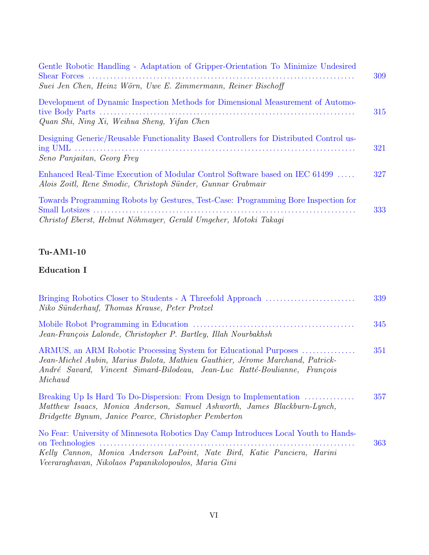| Gentle Robotic Handling - Adaptation of Gripper-Orientation To Minimize Undesired                                                                     | 309 |
|-------------------------------------------------------------------------------------------------------------------------------------------------------|-----|
| Suei Jen Chen, Heinz Wörn, Uwe E. Zimmermann, Reiner Bischoff                                                                                         |     |
| Development of Dynamic Inspection Methods for Dimensional Measurement of Automo-<br>Quan Shi, Ning Xi, Weihua Sheng, Yifan Chen                       | 315 |
| Designing Generic/Reusable Functionality Based Controllers for Distributed Control us-<br>Seno Panjaitan, Georg Frey                                  | 321 |
| Enhanced Real-Time Execution of Modular Control Software based on IEC 61499<br>Alois Zoitl, Rene Smodic, Christoph Sünder, Gunnar Grabmair            | 327 |
| Towards Programming Robots by Gestures, Test-Case: Programming Bore Inspection for<br>Christof Eberst, Helmut Nöhmayer, Gerald Umgeher, Motoki Takagi | 333 |

### **Education I**

| Niko Sünderhauf, Thomas Krause, Peter Protzel                                                                                                                                                                                             | 339 |
|-------------------------------------------------------------------------------------------------------------------------------------------------------------------------------------------------------------------------------------------|-----|
| Jean-François Lalonde, Christopher P. Bartley, Illah Nourbakhsh                                                                                                                                                                           | 345 |
| ARMUS, an ARM Robotic Processing System for Educational Purposes<br>Jean-Michel Aubin, Marius Bulota, Mathieu Gauthier, Jérome Marchand, Patrick-<br>André Savard, Vincent Simard-Bilodeau, Jean-Luc Ratté-Boulianne, François<br>Michaud | 351 |
| Breaking Up Is Hard To Do-Dispersion: From Design to Implementation<br>Matthew Isaacs, Monica Anderson, Samuel Ashworth, James Blackburn-Lynch,<br>Bridgette Bynum, Janice Pearce, Christopher Pemberton                                  | 357 |
| No Fear: University of Minnesota Robotics Day Camp Introduces Local Youth to Hands-<br>Kelly Cannon, Monica Anderson LaPoint, Nate Bird, Katie Panciera, Harini<br>Veeraraghavan, Nikolaos Papanikolopoulos, Maria Gini                   | 363 |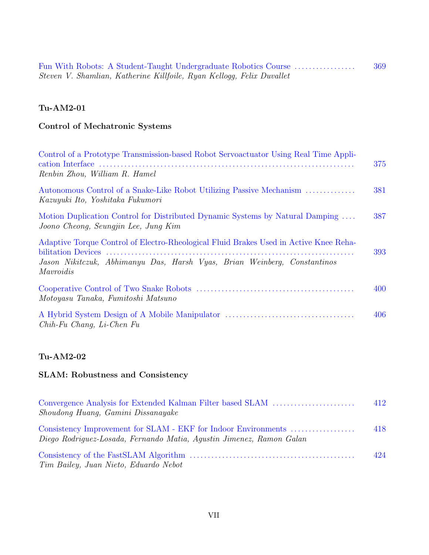|  |                                                                       |  |  | Fun With Robots: A Student-Taught Undergraduate Robotics Course | 369 |
|--|-----------------------------------------------------------------------|--|--|-----------------------------------------------------------------|-----|
|  | Steven V. Shamlian, Katherine Killfoile, Ryan Kellogg, Felix Duvallet |  |  |                                                                 |     |

# **Control of Mechatronic Systems**

| Control of a Prototype Transmission-based Robot Servoactuator Using Real Time Appli-<br>Renbin Zhou, William R. Hamel                                                          | 375 |
|--------------------------------------------------------------------------------------------------------------------------------------------------------------------------------|-----|
| Autonomous Control of a Snake-Like Robot Utilizing Passive Mechanism<br>Kazuyuki Ito, Yoshitaka Fukumori                                                                       | 381 |
| Motion Duplication Control for Distributed Dynamic Systems by Natural Damping<br>Joono Cheong, Seungjin Lee, Jung Kim                                                          | 387 |
| Adaptive Torque Control of Electro-Rheological Fluid Brakes Used in Active Knee Reha-<br>Jason Nikitczuk, Abhimanyu Das, Harsh Vyas, Brian Weinberg, Constantinos<br>Mavroidis | 393 |
| Motoyasu Tanaka, Fumitoshi Matsuno                                                                                                                                             | 400 |
| $Chih$ -Fu Chang, Li-Chen Fu                                                                                                                                                   | 406 |

## **Tu-AM2-02**

### **SLAM: Robustness and Consistency**

| Convergence Analysis for Extended Kalman Filter based SLAM<br>Shoudong Huang, Gamini Dissanayake                                       | 412  |
|----------------------------------------------------------------------------------------------------------------------------------------|------|
| Consistency Improvement for SLAM - EKF for Indoor Environments<br>Diego Rodriguez-Losada, Fernando Matia, Agustin Jimenez, Ramon Galan | 418  |
| Tim Bailey, Juan Nieto, Eduardo Nebot                                                                                                  | 42.4 |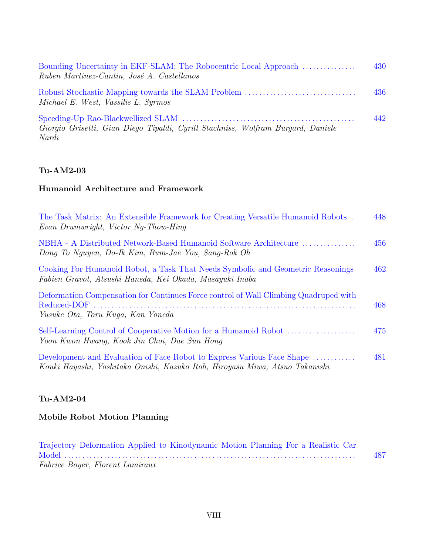| Bounding Uncertainty in EKF-SLAM: The Robocentric Local Approach<br>Ruben Martinez-Cantin, José A. Castellanos | 430 |
|----------------------------------------------------------------------------------------------------------------|-----|
| Robust Stochastic Mapping towards the SLAM Problem<br>Michael E. West, Vassilis L. Syrmos                      | 436 |
| Giorgio Grisetti, Gian Diego Tipaldi, Cyrill Stachniss, Wolfram Burgard, Daniele<br>Nardi                      | 442 |

### **Humanoid Architecture and Framework**

| The Task Matrix: An Extensible Framework for Creating Versatile Humanoid Robots.<br>Evan Drumwright, Victor Ng-Thow-Hing                               | 448 |
|--------------------------------------------------------------------------------------------------------------------------------------------------------|-----|
| NBHA - A Distributed Network-Based Humanoid Software Architecture<br>Dong To Nguyen, Do-Ik Kim, Bum-Jae You, Sang-Rok Oh                               | 456 |
| Cooking For Humanoid Robot, a Task That Needs Symbolic and Geometric Reasonings<br>Fabien Gravot, Atsushi Haneda, Kei Okada, Masayuki Inaba            | 462 |
| Deformation Compensation for Continues Force control of Wall Climbing Quadruped with<br>Yusuke Ota, Toru Kuqa, Kan Yoneda                              | 468 |
| Yoon Kwon Hwang, Kook Jin Choi, Dae Sun Hong                                                                                                           | 475 |
| Development and Evaluation of Face Robot to Express Various Face Shape<br>Kouki Hayashi, Yoshitaka Onishi, Kazuko Itoh, Hiroyasu Miwa, Atsuo Takanishi | 481 |

### **Tu-AM2-04**

# **Mobile Robot Motion Planning**

| Trajectory Deformation Applied to Kinodynamic Motion Planning For a Realistic Car |     |
|-----------------------------------------------------------------------------------|-----|
|                                                                                   | 487 |
| Fabrice Boyer, Florent Lamiraux                                                   |     |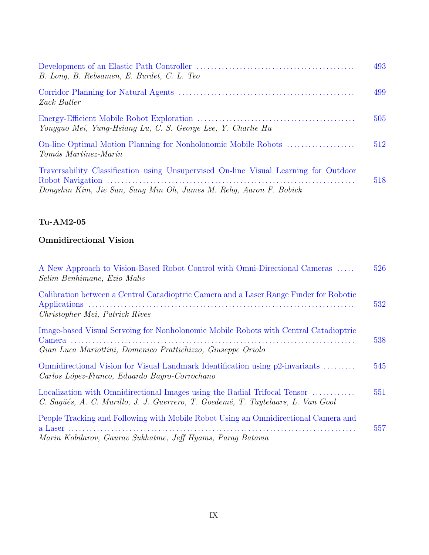| B. Long, B. Rebsamen, E. Burdet, C. L. Teo                                                                                                                 | 493 |
|------------------------------------------------------------------------------------------------------------------------------------------------------------|-----|
| Zack Butler                                                                                                                                                | 499 |
| Yongguo Mei, Yung-Hsiang Lu, C. S. George Lee, Y. Charlie Hu                                                                                               | 505 |
| On-line Optimal Motion Planning for Nonholonomic Mobile Robots<br>Tomás Martínez-Marín                                                                     | 512 |
| Traversability Classification using Unsupervised On-line Visual Learning for Outdoor<br>Dongshin Kim, Jie Sun, Sang Min Oh, James M. Rehg, Aaron F. Bobick | 518 |

### **Omnidirectional Vision**

| A New Approach to Vision-Based Robot Control with Omni-Directional Cameras<br>Selim Benhimane, Ezio Malis                                                     | 526 |
|---------------------------------------------------------------------------------------------------------------------------------------------------------------|-----|
| Calibration between a Central Catadioptric Camera and a Laser Range Finder for Robotic<br>Christopher Mei, Patrick Rives                                      | 532 |
| Image-based Visual Servoing for Nonholonomic Mobile Robots with Central Catadioptric<br>Gian Luca Mariottini, Domenico Prattichizzo, Giuseppe Oriolo          | 538 |
| Omnidirectional Vision for Visual Landmark Identification using p2-invariants<br>Carlos López-Franco, Eduardo Bayro-Corrochano                                | 545 |
| Localization with Omnidirectional Images using the Radial Trifocal Tensor<br>C. Sagüés, A. C. Murillo, J. J. Guerrero, T. Goedemé, T. Tuytelaars, L. Van Gool | 551 |
| People Tracking and Following with Mobile Robot Using an Omnidirectional Camera and<br>Marin Kobilarov, Gaurav Sukhatme, Jeff Hyams, Parag Batavia            | 557 |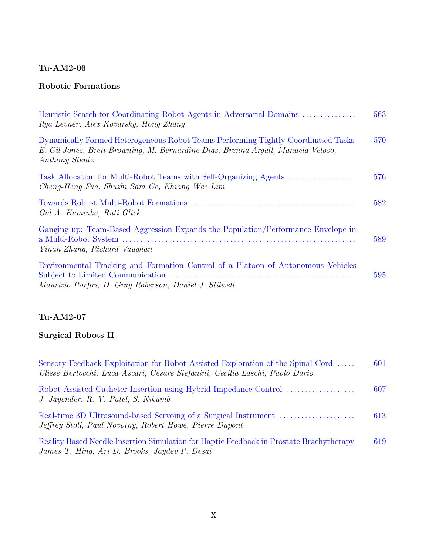## **Robotic Formations**

| Heuristic Search for Coordinating Robot Agents in Adversarial Domains<br>Ilya Levner, Alex Kovarsky, Hong Zhang                                                                         | 563 |
|-----------------------------------------------------------------------------------------------------------------------------------------------------------------------------------------|-----|
| Dynamically Formed Heterogeneous Robot Teams Performing Tightly-Coordinated Tasks<br>E. Gil Jones, Brett Browning, M. Bernardine Dias, Brenna Argall, Manuela Veloso,<br>Anthony Stentz | 570 |
| Task Allocation for Multi-Robot Teams with Self-Organizing Agents<br>Cheng-Heng Fua, Shuzhi Sam Ge, Khiang Wee Lim                                                                      | 576 |
| Gal A. Kaminka, Ruti Glick                                                                                                                                                              | 582 |
| Ganging up: Team-Based Aggression Expands the Population/Performance Envelope in<br>Yinan Zhang, Richard Vaughan                                                                        | 589 |
| Environmental Tracking and Formation Control of a Platoon of Autonomous Vehicles<br>Maurizio Porfiri, D. Gray Roberson, Daniel J. Stilwell                                              | 595 |

### **Tu-AM2-07**

# **Surgical Robots II**

| Sensory Feedback Exploitation for Robot-Assisted Exploration of the Spinal Cord<br>Ulisse Bertocchi, Luca Ascari, Cesare Stefanini, Cecilia Laschi, Paolo Dario | 601 |
|-----------------------------------------------------------------------------------------------------------------------------------------------------------------|-----|
| J. Jayender, R. V. Patel, S. Nikumb                                                                                                                             | 607 |
| Jeffrey Stoll, Paul Novotny, Robert Howe, Pierre Dupont                                                                                                         | 613 |
| Reality Based Needle Insertion Simulation for Haptic Feedback in Prostate Brachytherapy<br>James T. Hing, Ari D. Brooks, Jaydev P. Desai                        | 619 |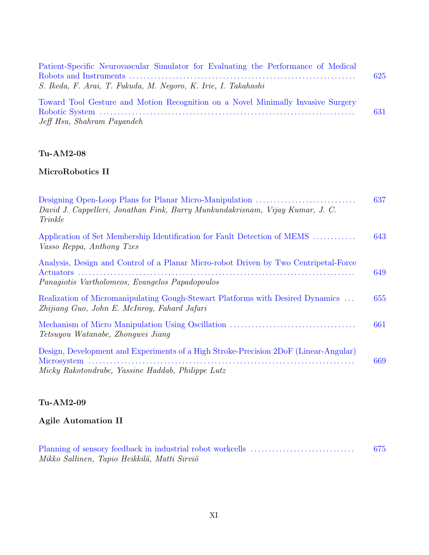| Patient-Specific Neurovascular Simulator for Evaluating the Performance of Medical |     |
|------------------------------------------------------------------------------------|-----|
|                                                                                    | 625 |
| S. Ikeda, F. Arai, T. Fukuda, M. Negoro, K. Irie, I. Takahashi                     |     |
| Toward Tool Gesture and Motion Recognition on a Novel Minimally Invasive Surgery   |     |
|                                                                                    | 631 |
| Jeff Hsu, Shahram Payandeh                                                         |     |

## **MicroRobotics II**

| David J. Cappelleri, Jonathan Fink, Barry Munkundakrisnam, Vijay Kumar, J. C.<br>Trinkle                                                  |     |
|-------------------------------------------------------------------------------------------------------------------------------------------|-----|
| Application of Set Membership Identification for Fault Detection of MEMS<br>Vasso Reppa, Anthony Tzes                                     | 643 |
| Analysis, Design and Control of a Planar Micro-robot Driven by Two Centripetal-Force<br>Panagiotis Vartholomeos, Evangelos Papadopoulos   | 649 |
| Realization of Micromanipulating Gough-Stewart Platforms with Desired Dynamics<br>Zhijiang Guo, John E. McInroy, Fahard Jafari            | 655 |
| Tetsuyou Watanabe, Zhongwei Jiang                                                                                                         | 661 |
| Design, Development and Experiments of a High Stroke-Precision 2DoF (Linear-Angular)<br>Micky Rakotondrabe, Yassine Haddab, Philippe Lutz | 669 |

## **Tu-AM2-09**

# **Agile Automation II**

|                                              | 675 |
|----------------------------------------------|-----|
| Mikko Sallinen, Tapio Heikkilä, Matti Sirviö |     |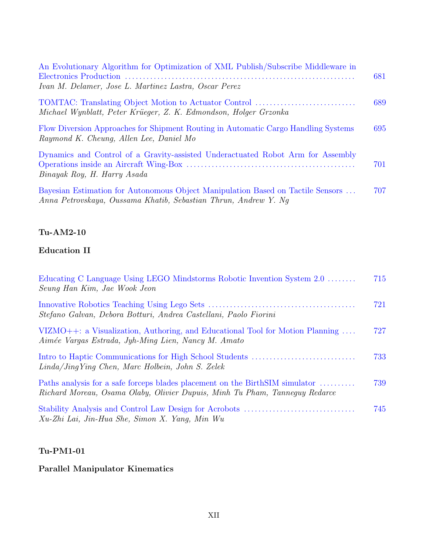| An Evolutionary Algorithm for Optimization of XML Publish/Subscribe Middleware in<br>Ivan M. Delamer, Jose L. Martinez Lastra, Oscar Perez         | 681 |
|----------------------------------------------------------------------------------------------------------------------------------------------------|-----|
| Michael Wynblatt, Peter Krüeger, Z. K. Edmondson, Holger Grzonka                                                                                   | 689 |
| Flow Diversion Approaches for Shipment Routing in Automatic Cargo Handling Systems<br>Raymond K. Cheung, Allen Lee, Daniel Mo                      | 695 |
| Dynamics and Control of a Gravity-assisted Underactuated Robot Arm for Assembly<br>Binayak Roy, H. Harry Asada                                     | 701 |
| Bayesian Estimation for Autonomous Object Manipulation Based on Tactile Sensors<br>Anna Petrovskaya, Oussama Khatib, Sebastian Thrun, Andrew Y. Nq | 707 |

### **Education II**

| Educating C Language Using LEGO Mindstorms Robotic Invention System 2.0<br>Seung Han Kim, Jae Wook Jeon                                                     | 715 |
|-------------------------------------------------------------------------------------------------------------------------------------------------------------|-----|
| Stefano Galvan, Debora Botturi, Andrea Castellani, Paolo Fiorini                                                                                            | 721 |
| VIZMO++: a Visualization, Authoring, and Educational Tool for Motion Planning<br>Aimée Vargas Estrada, Jyh-Ming Lien, Nancy M. Amato                        | 727 |
| $Linda/JinqYinq$ Chen, Marc Holbein, John S. Zelek                                                                                                          | 733 |
| Paths analysis for a safe forceps blades placement on the BirthSIM simulator<br>Richard Moreau, Osama Olaby, Olivier Dupuis, Minh Tu Pham, Tannequy Redarce | 739 |
| Xu-Zhi Lai, Jin-Hua She, Simon X. Yang, Min Wu                                                                                                              | 745 |

#### **Tu-PM1-01**

# **Parallel Manipulator Kinematics**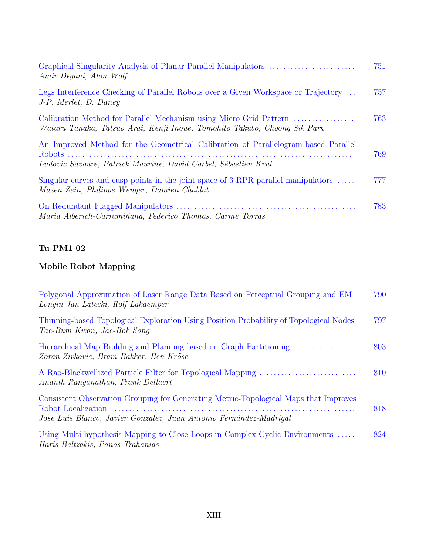| Amir Degani, Alon Wolf                                                                                                                               | 751 |
|------------------------------------------------------------------------------------------------------------------------------------------------------|-----|
| Legs Interference Checking of Parallel Robots over a Given Workspace or Trajectory<br>J-P. Merlet, D. Daney                                          | 757 |
| Calibration Method for Parallel Mechanism using Micro Grid Pattern<br>Wataru Tanaka, Tatsuo Arai, Kenji Inoue, Tomohito Takubo, Choong Sik Park      | 763 |
| An Improved Method for the Geometrical Calibration of Parallelogram-based Parallel<br>Ludovic Savoure, Patrick Maurine, David Corbel, Sébastien Krut | 769 |
| Singular curves and cusp points in the joint space of 3-RPR parallel manipulators $\dots$<br>Mazen Zein, Philippe Wenger, Damien Chablat             | 777 |
| Maria Alberich-Carramiñana, Federico Thomas, Carme Torras                                                                                            | 783 |

## **Mobile Robot Mapping**

| Polygonal Approximation of Laser Range Data Based on Perceptual Grouping and EM<br>Longin Jan Latecki, Rolf Lakaemper                                      | 790 |
|------------------------------------------------------------------------------------------------------------------------------------------------------------|-----|
| Thinning-based Topological Exploration Using Position Probability of Topological Nodes<br>Tae-Bum Kwon, Jae-Bok Song                                       | 797 |
| Hierarchical Map Building and Planning based on Graph Partitioning<br>Zoran Zivkovic, Bram Bakker, Ben Kröse                                               | 803 |
| Ananth Ranganathan, Frank Dellaert                                                                                                                         | 810 |
| Consistent Observation Grouping for Generating Metric-Topological Maps that Improves<br>Jose Luis Blanco, Javier Gonzalez, Juan Antonio Fernández-Madrigal | 818 |
| Using Multi-hypothesis Mapping to Close Loops in Complex Cyclic Environments<br>Haris Baltzakis, Panos Trahanias                                           | 824 |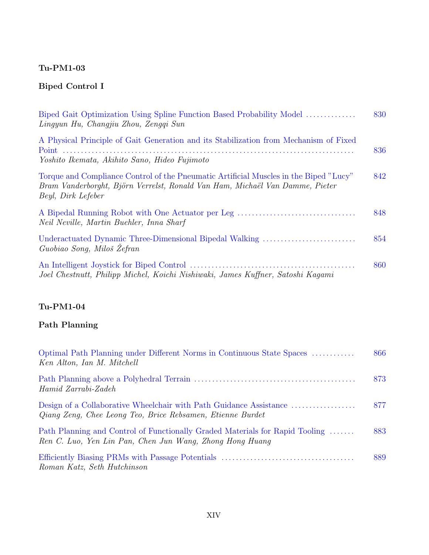# **Biped Control I**

| Biped Gait Optimization Using Spline Function Based Probability Model<br>Lingyun Hu, Changjiu Zhou, Zenggi Sun                                                                              | 830 |
|---------------------------------------------------------------------------------------------------------------------------------------------------------------------------------------------|-----|
| A Physical Principle of Gait Generation and its Stabilization from Mechanism of Fixed<br>Yoshito Ikemata, Akihito Sano, Hideo Fujimoto                                                      | 836 |
| Torque and Compliance Control of the Pneumatic Artificial Muscles in the Biped "Lucy"<br>Bram Vanderborght, Björn Verrelst, Ronald Van Ham, Michaël Van Damme, Pieter<br>Beyl, Dirk Lefeber | 842 |
| Neil Neville, Martin Buehler, Inna Sharf                                                                                                                                                    | 848 |
| Underactuated Dynamic Three-Dimensional Bipedal Walking<br>Guobiao Song, Miloš Žefran                                                                                                       | 854 |
| Joel Chestnutt, Philipp Michel, Koichi Nishiwaki, James Kuffner, Satoshi Kagami                                                                                                             | 860 |

## **Tu-PM1-04**

# **Path Planning**

| Optimal Path Planning under Different Norms in Continuous State Spaces<br>Ken Alton, Ian M. Mitchell                                     | 866 |
|------------------------------------------------------------------------------------------------------------------------------------------|-----|
| Hamid Zarrabi-Zadeh                                                                                                                      | 873 |
| Qiang Zeng, Chee Leong Teo, Brice Rebsamen, Etienne Burdet                                                                               | 877 |
| Path Planning and Control of Functionally Graded Materials for Rapid Tooling<br>Ren C. Luo, Yen Lin Pan, Chen Jun Wang, Zhong Hong Huang | 883 |
| Roman Katz, Seth Hutchinson                                                                                                              | 889 |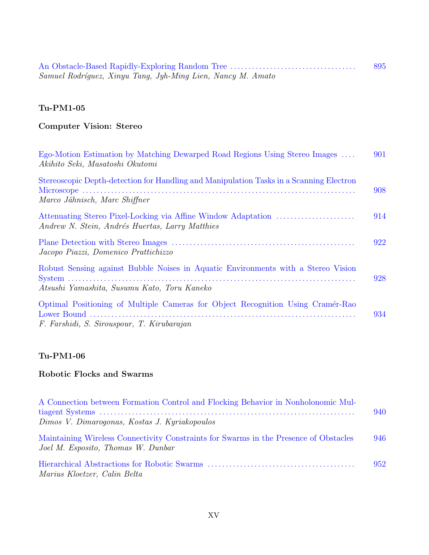| An Obstacle-Based Rapidly-Exploring Random Tree             | 895 |
|-------------------------------------------------------------|-----|
| Samuel Rodríguez, Xinyu Tang, Jyh-Ming Lien, Nancy M. Amato |     |

# **Computer Vision: Stereo**

| Ego-Motion Estimation by Matching Dewarped Road Regions Using Stereo Images<br>Akihito Seki, Masatoshi Okutomi                   | 901 |
|----------------------------------------------------------------------------------------------------------------------------------|-----|
| Stereoscopic Depth-detection for Handling and Manipulation Tasks in a Scanning Electron<br>Marco Jähnisch, Marc Shiffner         | 908 |
| Andrew N. Stein, Andrés Huertas, Larry Matthies                                                                                  | 914 |
| Jacopo Piazzi, Domenico Prattichizzo                                                                                             | 922 |
| Robust Sensing against Bubble Noises in Aquatic Environments with a Stereo Vision<br>Atsushi Yamashita, Susumu Kato, Toru Kaneko | 928 |
| Optimal Positioning of Multiple Cameras for Object Recognition Using Cramér-Rao<br>F. Farshidi, S. Sirouspour, T. Kirubarajan    | 934 |

#### **Tu-PM1-06**

## **Robotic Flocks and Swarms**

| A Connection between Formation Control and Flocking Behavior in Nonholonomic Mul-                                           | 940 |
|-----------------------------------------------------------------------------------------------------------------------------|-----|
| Dimos V. Dimarogonas, Kostas J. Kyriakopoulos                                                                               |     |
| Maintaining Wireless Connectivity Constraints for Swarms in the Presence of Obstacles<br>Joel M. Esposito, Thomas W. Dunbar | 946 |
| Marius Kloetzer, Calin Belta                                                                                                | 952 |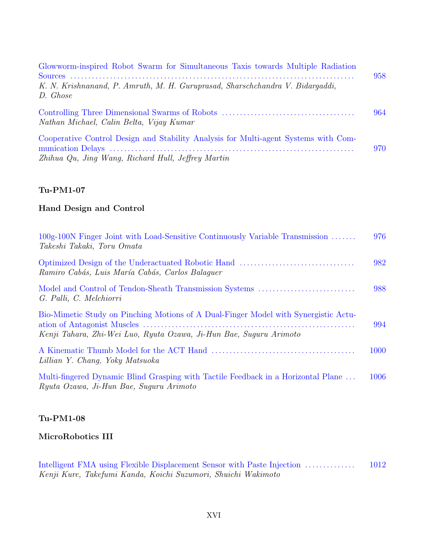| Glowworm-inspired Robot Swarm for Simultaneous Taxis towards Multiple Radiation                                                           | 958 |
|-------------------------------------------------------------------------------------------------------------------------------------------|-----|
| K. N. Krishnanand, P. Amruth, M. H. Guruprasad, Sharschchandra V. Bidargaddi,<br>D. Ghose                                                 |     |
| Nathan Michael, Calin Belta, Vijay Kumar                                                                                                  | 964 |
| Cooperative Control Design and Stability Analysis for Multi-agent Systems with Com-<br>Zhihua Qu, Jing Wang, Richard Hull, Jeffrey Martin | 970 |

#### **Hand Design and Control**

| 100g-100N Finger Joint with Load-Sensitive Continuously Variable Transmission<br>Takeshi Takaki, Toru Omata                                               | 976  |
|-----------------------------------------------------------------------------------------------------------------------------------------------------------|------|
| Ramiro Cabás, Luis María Cabás, Carlos Balaquer                                                                                                           | 982  |
| G. Palli, C. Melchiorri                                                                                                                                   | 988  |
| Bio-Mimetic Study on Pinching Motions of A Dual-Finger Model with Synergistic Actu-<br>Kenji Tahara, Zhi-Wei Luo, Ryuta Ozawa, Ji-Hun Bae, Suguru Arimoto | 994  |
| Lillian Y. Chang, Yoky Matsuoka                                                                                                                           | 1000 |
| Multi-fingered Dynamic Blind Grasping with Tactile Feedback in a Horizontal Plane<br>Ryuta Ozawa, Ji-Hun Bae, Suguru Arimoto                              | 1006 |

#### **Tu-PM1-08**

### **MicroRobotics III**

Intelligent FMA using Flexible Displacement Sensor with Paste Injection . . . . . . . . . . . . . . 1012 Kenji Kure, Takefumi Kanda, Koichi Suzumori, Shuichi Wakimoto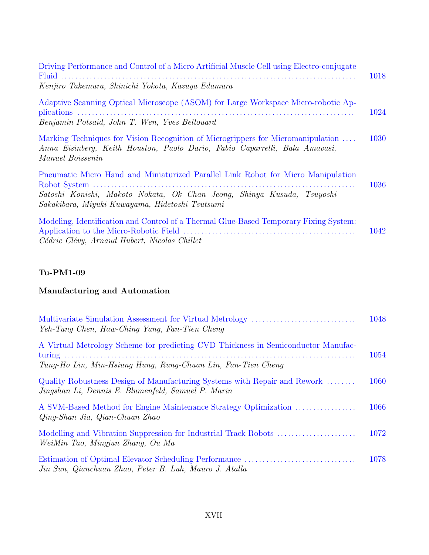| Driving Performance and Control of a Micro Artificial Muscle Cell using Electro-conjugate                                                                                                                     | 1018 |
|---------------------------------------------------------------------------------------------------------------------------------------------------------------------------------------------------------------|------|
| Kenjiro Takemura, Shinichi Yokota, Kazuya Edamura                                                                                                                                                             |      |
| Adaptive Scanning Optical Microscope (ASOM) for Large Workspace Micro-robotic Ap-<br>Benjamin Potsaid, John T. Wen, Yves Bellouard                                                                            | 1024 |
| Marking Techniques for Vision Recognition of Microgrippers for Micromanipulation<br>Anna Eisinberg, Keith Houston, Paolo Dario, Fabio Caparrelli, Bala Amavasi,<br>Manuel Boissenin                           | 1030 |
| Pneumatic Micro Hand and Miniaturized Parallel Link Robot for Micro Manipulation<br>Satoshi Konishi, Makoto Nokata, Ok Chan Jeong, Shinya Kusuda, Tsuyoshi<br>Sakakibara, Miyuki Kuwayama, Hidetoshi Tsutsumi | 1036 |
| Modeling, Identification and Control of a Thermal Glue-Based Temporary Fixing System:<br>Cédric Clévy, Arnaud Hubert, Nicolas Chillet                                                                         | 1042 |

# **Manufacturing and Automation**

| Yeh-Tung Chen, Haw-Ching Yang, Fan-Tien Cheng                                                                                                     | 1048 |
|---------------------------------------------------------------------------------------------------------------------------------------------------|------|
| A Virtual Metrology Scheme for predicting CVD Thickness in Semiconductor Manufac-<br>Tung-Ho Lin, Min-Hsiung Hung, Rung-Chuan Lin, Fan-Tien Cheng | 1054 |
| Quality Robustness Design of Manufacturing Systems with Repair and Rework<br>Jingshan Li, Dennis E. Blumenfeld, Samuel P. Marin                   | 1060 |
| A SVM-Based Method for Engine Maintenance Strategy Optimization<br>Qing-Shan Jia, Qian-Chuan Zhao                                                 | 1066 |
| WeiMin Tao, Mingjun Zhang, Ou Ma                                                                                                                  | 1072 |
| Jin Sun, Qianchuan Zhao, Peter B. Luh, Mauro J. Atalla                                                                                            | 1078 |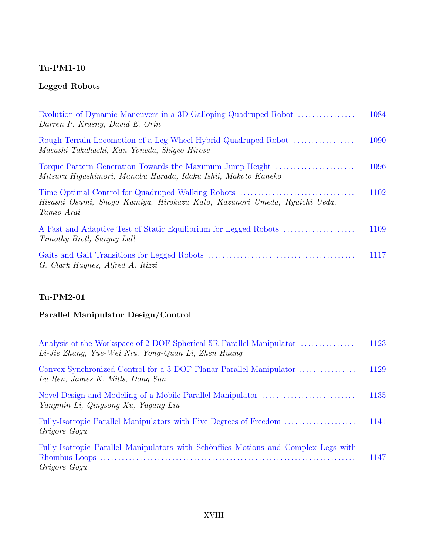## **Legged Robots**

| Evolution of Dynamic Maneuvers in a 3D Galloping Quadruped Robot<br>Darren P. Krasny, David E. Orin                         | 1084 |
|-----------------------------------------------------------------------------------------------------------------------------|------|
| Rough Terrain Locomotion of a Leg-Wheel Hybrid Quadruped Robot<br>Masashi Takahashi, Kan Yoneda, Shiqeo Hirose              | 1090 |
| Torque Pattern Generation Towards the Maximum Jump Height<br>Mitsuru Hiqashimori, Manabu Harada, Idaku Ishii, Makoto Kaneko | 1096 |
| Hisashi Osumi, Shogo Kamiya, Hirokazu Kato, Kazunori Umeda, Ryuichi Ueda,<br>Tamio Arai                                     | 1102 |
| Timothy Bretl, Sanjay Lall                                                                                                  | 1109 |
| G. Clark Haynes, Alfred A. Rizzi                                                                                            | 1117 |

### **Tu-PM2-01**

# **Parallel Manipulator Design/Control**

| Analysis of the Workspace of 2-DOF Spherical 5R Parallel Manipulator<br>Li-Jie Zhang, Yue-Wei Niu, Yong-Quan Li, Zhen Huang | 1123 |
|-----------------------------------------------------------------------------------------------------------------------------|------|
| Lu Ren, James K. Mills, Dong Sun                                                                                            | 1129 |
| Yangmin Li, Qingsong Xu, Yugang Liu                                                                                         | 1135 |
| Fully-Isotropic Parallel Manipulators with Five Degrees of Freedom<br>Grigore Gogu                                          | 1141 |
| Fully-Isotropic Parallel Manipulators with Schönflies Motions and Complex Legs with<br>Grigore Gogu                         | 1147 |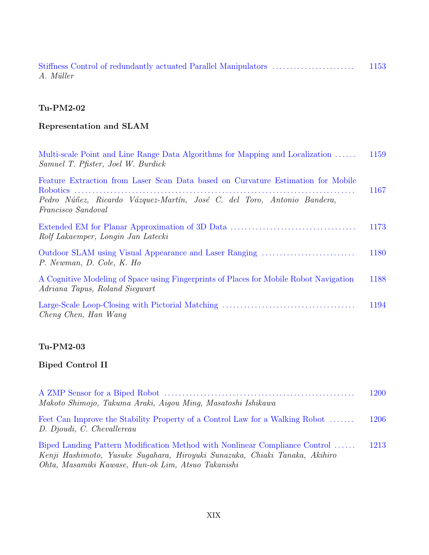|           | 1153 |
|-----------|------|
| A. Müller |      |

# **Representation and SLAM**

| Multi-scale Point and Line Range Data Algorithms for Mapping and Localization<br>Samuel T. Pfister, Joel W. Burdick                                                               | 1159 |
|-----------------------------------------------------------------------------------------------------------------------------------------------------------------------------------|------|
| Feature Extraction from Laser Scan Data based on Curvature Estimation for Mobile<br>Pedro Núñez, Ricardo Vázquez-Martín, José C. del Toro, Antonio Bandera,<br>Francisco Sandoval | 1167 |
| Rolf Lakaemper, Longin Jan Latecki                                                                                                                                                | 1173 |
| Outdoor SLAM using Visual Appearance and Laser Ranging<br>P. Newman, D. Cole, K. Ho                                                                                               | 1180 |
| A Cognitive Modeling of Space using Fingerprints of Places for Mobile Robot Navigation<br>Adriana Tapus, Roland Siegwart                                                          | 1188 |
| Cheng Chen, Han Wang                                                                                                                                                              | 1194 |

### **Tu-PM2-03**

# **Biped Control II**

| Makoto Shimojo, Takuma Araki, Aigou Ming, Masatoshi Ishikawa                                                                                                                                                     | 1200 |
|------------------------------------------------------------------------------------------------------------------------------------------------------------------------------------------------------------------|------|
| Feet Can Improve the Stability Property of a Control Law for a Walking Robot<br>D. Djoudi, C. Chevallereau                                                                                                       | 1206 |
| Biped Landing Pattern Modification Method with Nonlinear Compliance Control<br>Kenji Hashimoto, Yusuke Sugahara, Hiroyuki Sunazuka, Chiaki Tanaka, Akihiro<br>Ohta, Masamiki Kawase, Hun-ok Lim, Atsuo Takanishi | 1213 |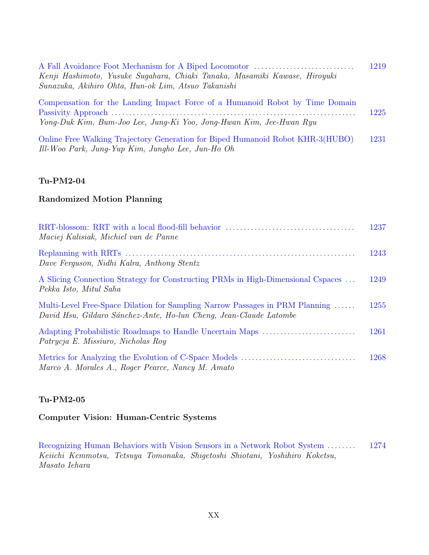| A Fall Avoidance Foot Mechanism for A Biped Locomotor                        | 1219 |
|------------------------------------------------------------------------------|------|
| Kenji Hashimoto, Yusuke Suqahara, Chiaki Tanaka, Masamiki Kawase, Hiroyuki   |      |
| Sunazuka, Akihiro Ohta, Hun-ok Lim, Atsuo Takanishi                          |      |
| Compensation for the Landing Impact Force of a Humanoid Robot by Time Domain |      |
|                                                                              | 1225 |
| Yong-Duk Kim, Bum-Joo Lee, Jung-Ki Yoo, Jong-Hwan Kim, Jee-Hwan Ryu          |      |

Online Free Walking Trajectory Generation for Biped Humanoid Robot KHR-3(HUBO) 1231 Ill-Woo Park, Jung-Yup Kim, Jungho Lee, Jun-Ho Oh

#### **Tu-PM2-04**

#### **Randomized Motion Planning**

| Maciej Kalisiak, Michiel van de Panne                                                                                                              | 1237 |
|----------------------------------------------------------------------------------------------------------------------------------------------------|------|
| Dave Ferguson, Nidhi Kalra, Anthony Stentz                                                                                                         | 1243 |
| A Slicing Connection Strategy for Constructing PRMs in High-Dimensional Cspaces<br>Pekka Isto, Mitul Saha                                          | 1249 |
| Multi-Level Free-Space Dilation for Sampling Narrow Passages in PRM Planning<br>David Hsu, Gildaro Sánchez-Ante, Ho-lun Cheng, Jean-Claude Latombe | 1255 |
| Patrycja E. Missiuro, Nicholas Roy                                                                                                                 | 1261 |
| Marco A. Morales A., Roger Pearce, Nancy M. Amato                                                                                                  | 1268 |

#### **Tu-PM2-05**

#### **Computer Vision: Human-Centric Systems**

Recognizing Human Behaviors with Vision Sensors in a Network Robot System ........ 1274 Keiichi Kemmotsu, Tetsuya Tomonaka, Shigetoshi Shiotani, Yoshihiro Koketsu, Masato Iehara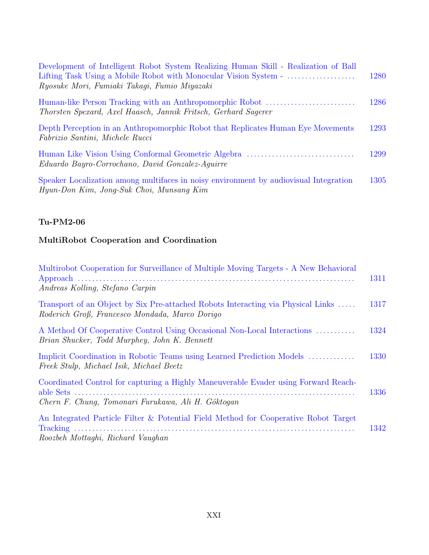| Development of Intelligent Robot System Realizing Human Skill - Realization of Ball<br>Ryosuke Mori, Fumiaki Takagi, Fumio Miyazaki | 1280 |
|-------------------------------------------------------------------------------------------------------------------------------------|------|
| Human-like Person Tracking with an Anthropomorphic Robot<br>Thorsten Spexard, Axel Haasch, Jannik Fritsch, Gerhard Sagerer          | 1286 |
| Depth Perception in an Anthropomorphic Robot that Replicates Human Eye Movements<br>Fabrizio Santini, Michele Rucci                 | 1293 |
| Eduardo Bayro-Corrochano, David Gonzalez-Aquirre                                                                                    | 1299 |
| Speaker Localization among multifaces in noisy environment by audiovisual Integration<br>Hyun-Don Kim, Jong-Suk Choi, Munsang Kim   | 1305 |

### **MultiRobot Cooperation and Coordination**

| Multirobot Cooperation for Surveillance of Multiple Moving Targets - A New Behavioral<br>Andreas Kolling, Stefano Carpin                  | 1311 |
|-------------------------------------------------------------------------------------------------------------------------------------------|------|
| Transport of an Object by Six Pre-attached Robots Interacting via Physical Links<br>Roderich Groß, Francesco Mondada, Marco Dorigo        | 1317 |
| A Method Of Cooperative Control Using Occasional Non-Local Interactions<br>Brian Shucker, Todd Murphey, John K. Bennett                   | 1324 |
| Implicit Coordination in Robotic Teams using Learned Prediction Models<br>Freek Stulp, Michael Isik, Michael Beetz                        | 1330 |
| Coordinated Control for capturing a Highly Maneuverable Evader using Forward Reach-<br>Chern F. Chung, Tomonari Furukawa, Ali H. Göktogan | 1336 |
| An Integrated Particle Filter & Potential Field Method for Cooperative Robot Target<br>Roozbeh Mottaghi, Richard Vaughan                  | 1342 |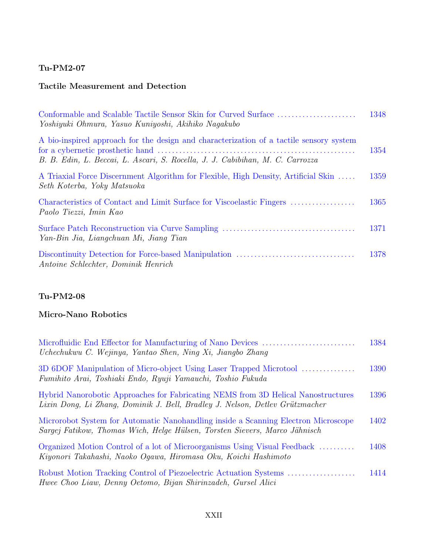### **Tactile Measurement and Detection**

| Yoshiyuki Ohmura, Yasuo Kuniyoshi, Akihiko Naqakubo                                                                                                                      | 1348 |
|--------------------------------------------------------------------------------------------------------------------------------------------------------------------------|------|
| A bio-inspired approach for the design and characterization of a tactile sensory system<br>B. B. Edin, L. Beccai, L. Ascari, S. Rocella, J. J. Cabibihan, M. C. Carrozza | 1354 |
| A Triaxial Force Discernment Algorithm for Flexible, High Density, Artificial Skin<br>Seth Koterba, Yoky Matsuoka                                                        | 1359 |
| Paolo Tiezzi, Imin Kao                                                                                                                                                   | 1365 |
| Yan-Bin Jia, Liangchuan Mi, Jiang Tian                                                                                                                                   | 1371 |
| Antoine Schlechter, Dominik Henrich                                                                                                                                      | 1378 |

## **Tu-PM2-08**

## **Micro-Nano Robotics**

| Uchechukwu C. Wejinya, Yantao Shen, Ning Xi, Jiangbo Zhang                                                                                                        | 1384 |
|-------------------------------------------------------------------------------------------------------------------------------------------------------------------|------|
| 3D 6DOF Manipulation of Micro-object Using Laser Trapped Microtool<br>Fumihito Arai, Toshiaki Endo, Ryuji Yamauchi, Toshio Fukuda                                 | 1390 |
| Hybrid Nanorobotic Approaches for Fabricating NEMS from 3D Helical Nanostructures<br>Lixin Dong, Li Zhang, Dominik J. Bell, Bradley J. Nelson, Detlev Grützmacher | 1396 |
| Microrobot System for Automatic Nanohandling inside a Scanning Electron Microscope<br>Sargej Fatikow, Thomas Wich, Helge Hülsen, Torsten Sievers, Marco Jähnisch  | 1402 |
| Organized Motion Control of a lot of Microorganisms Using Visual Feedback<br>Kiyonori Takahashi, Naoko Ogawa, Hiromasa Oku, Koichi Hashimoto                      | 1408 |
| Hwee Choo Liaw, Denny Oetomo, Bijan Shirinzadeh, Gursel Alici                                                                                                     | 1414 |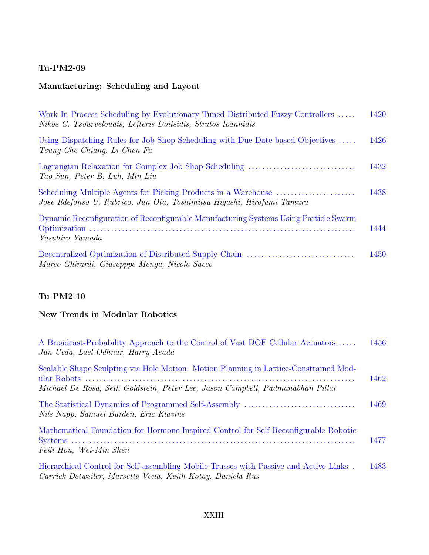### **Manufacturing: Scheduling and Layout**

| Work In Process Scheduling by Evolutionary Tuned Distributed Fuzzy Controllers<br>Nikos C. Tsourveloudis, Lefteris Doitsidis, Stratos Ioannidis | 1420 |
|-------------------------------------------------------------------------------------------------------------------------------------------------|------|
| Using Dispatching Rules for Job Shop Scheduling with Due Date-based Objectives<br>$Tsung-Che Chiang, Li-Chen Fu$                                | 1426 |
| Tao Sun, Peter B. Luh, Min Liu                                                                                                                  | 1432 |
| Jose Ildefonso U. Rubrico, Jun Ota, Toshimitsu Higashi, Hirofumi Tamura                                                                         | 1438 |
| Dynamic Reconfiguration of Reconfigurable Manufacturing Systems Using Particle Swarm<br>Yasuhiro Yamada                                         | 1444 |
| Marco Ghirardi, Giusepppe Menga, Nicola Sacco                                                                                                   | 1450 |

### **Tu-PM2-10**

### **New Trends in Modular Robotics**

| A Broadcast-Probability Approach to the Control of Vast DOF Cellular Actuators<br>Jun Ueda, Lael Odhnar, Harry Asada                                                    | 1456 |
|-------------------------------------------------------------------------------------------------------------------------------------------------------------------------|------|
| Scalable Shape Sculpting via Hole Motion: Motion Planning in Lattice-Constrained Mod-<br>Michael De Rosa, Seth Goldstein, Peter Lee, Jason Campbell, Padmanabhan Pillai | 1462 |
| Nils Napp, Samuel Burden, Eric Klavins                                                                                                                                  | 1469 |
| Mathematical Foundation for Hormone-Inspired Control for Self-Reconfigurable Robotic<br>Feili Hou, Wei-Min Shen                                                         | 1477 |
| Hierarchical Control for Self-assembling Mobile Trusses with Passive and Active Links.<br>Carrick Detweiler, Marsette Vona, Keith Kotay, Daniela Rus                    | 1483 |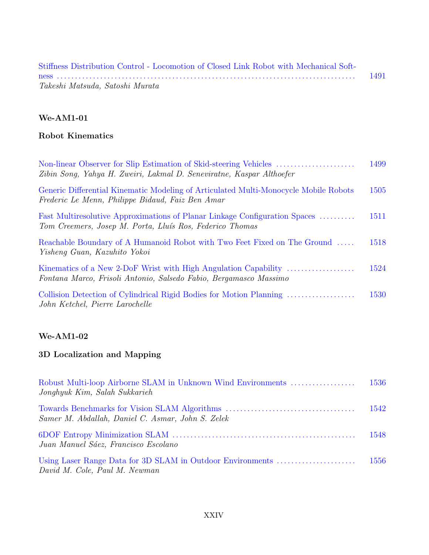| Stiffness Distribution Control - Locomotion of Closed Link Robot with Mechanical Soft- |      |
|----------------------------------------------------------------------------------------|------|
|                                                                                        | 1491 |
| Takeshi Matsuda, Satoshi Murata                                                        |      |

### **Robot Kinematics**

| Zibin Song, Yahya H. Zweiri, Lakmal D. Seneviratne, Kaspar Althoefer                                                                     | 1499 |
|------------------------------------------------------------------------------------------------------------------------------------------|------|
| Generic Differential Kinematic Modeling of Articulated Multi-Monocycle Mobile Robots<br>Frederic Le Menn, Philippe Bidaud, Faiz Ben Amar | 1505 |
| Fast Multiresolutive Approximations of Planar Linkage Configuration Spaces<br>Tom Creemers, Josep M. Porta, Lluís Ros, Federico Thomas   | 1511 |
| Reachable Boundary of A Humanoid Robot with Two Feet Fixed on The Ground<br>Yisheng Guan, Kazuhito Yokoi                                 | 1518 |
| Kinematics of a New 2-DoF Wrist with High Angulation Capability<br>Fontana Marco, Frisoli Antonio, Salsedo Fabio, Bergamasco Massimo     | 1524 |
| Collision Detection of Cylindrical Rigid Bodies for Motion Planning<br>John Ketchel, Pierre Larochelle                                   | 1530 |
|                                                                                                                                          |      |

### **We-AM1-02**

### **3D Localization and Mapping**

| Robust Multi-loop Airborne SLAM in Unknown Wind Environments<br>Jonghyuk Kim, Salah Sukkarieh | 1536 |
|-----------------------------------------------------------------------------------------------|------|
| Samer M. Abdallah, Daniel C. Asmar, John S. Zelek                                             | 1542 |
| Juan Manuel Sáez, Francisco Escolano                                                          | 1548 |
| Using Laser Range Data for 3D SLAM in Outdoor Environments<br>David M. Cole, Paul M. Newman   | 1556 |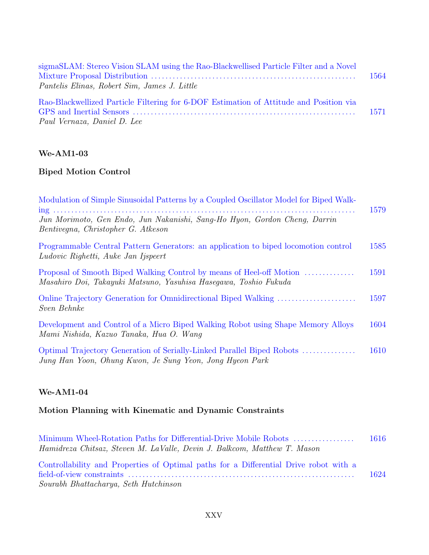| sigmaSLAM: Stereo Vision SLAM using the Rao-Blackwellised Particle Filter and a Novel<br>Pantelis Elinas, Robert Sim, James J. Little | 1564 |
|---------------------------------------------------------------------------------------------------------------------------------------|------|
| Rao-Blackwellized Particle Filtering for 6-DOF Estimation of Attitude and Position via<br>Paul Vernaza, Daniel D. Lee                 | 1571 |

# **Biped Motion Control**

| Modulation of Simple Sinusoidal Patterns by a Coupled Oscillator Model for Biped Walk-                                                   | 1579 |
|------------------------------------------------------------------------------------------------------------------------------------------|------|
| Jun Morimoto, Gen Endo, Jun Nakanishi, Sang-Ho Hyon, Gordon Cheng, Darrin<br>Bentivegna, Christopher G. Atkeson                          |      |
| Programmable Central Pattern Generators: an application to biped locomotion control<br>Ludovic Righetti, Auke Jan Ijspeert               | 1585 |
| Proposal of Smooth Biped Walking Control by means of Heel-off Motion<br>Masahiro Doi, Takayuki Matsuno, Yasuhisa Hasegawa, Toshio Fukuda | 1591 |
| Sven Behnke                                                                                                                              | 1597 |
| Development and Control of a Micro Biped Walking Robot using Shape Memory Alloys<br>Mami Nishida, Kazuo Tanaka, Hua O. Wang              | 1604 |
| Optimal Trajectory Generation of Serially-Linked Parallel Biped Robots<br>Jung Han Yoon, Ohung Kwon, Je Sung Yeon, Jong Hyeon Park       | 1610 |

### **We-AM1-04**

# **Motion Planning with Kinematic and Dynamic Constraints**

| Minimum Wheel-Rotation Paths for Differential-Drive Mobile Robots                     | -1616 |
|---------------------------------------------------------------------------------------|-------|
| Hamidreza Chitsaz, Steven M. LaValle, Devin J. Balkcom, Matthew T. Mason              |       |
| Controllability and Properties of Optimal paths for a Differential Drive robot with a |       |
|                                                                                       | 1624  |
| Sourabh Bhattacharya, Seth Hutchinson                                                 |       |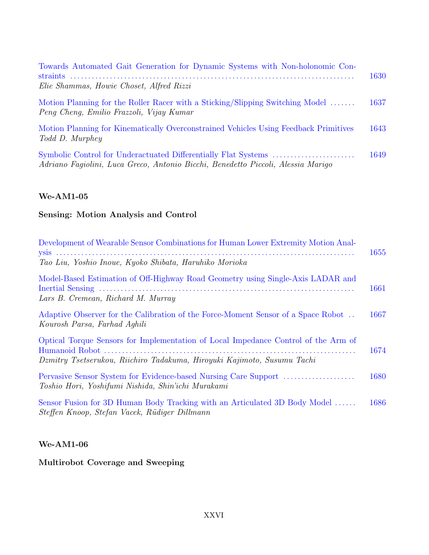| Towards Automated Gait Generation for Dynamic Systems with Non-holonomic Con-<br>Elie Shammas, Howie Choset, Alfred Rizzi | 1630 |
|---------------------------------------------------------------------------------------------------------------------------|------|
| Motion Planning for the Roller Racer with a Sticking/Slipping Switching Model<br>Peng Cheng, Emilio Frazzoli, Vijay Kumar | 1637 |
| Motion Planning for Kinematically Overconstrained Vehicles Using Feedback Primitives<br>Todd D. Murphey                   | 1643 |
| Adriano Fagiolini, Luca Greco, Antonio Bicchi, Benedetto Piccoli, Alessia Marigo                                          | 1649 |

### **Sensing: Motion Analysis and Control**

| Development of Wearable Sensor Combinations for Human Lower Extremity Motion Anal-                                                                            | 1655 |
|---------------------------------------------------------------------------------------------------------------------------------------------------------------|------|
| Tao Liu, Yoshio Inoue, Kyoko Shibata, Haruhiko Morioka                                                                                                        |      |
| Model-Based Estimation of Off-Highway Road Geometry using Single-Axis LADAR and<br>Lars B. Cremean, Richard M. Murray                                         | 1661 |
| Adaptive Observer for the Calibration of the Force-Moment Sensor of a Space Robot<br>Kourosh Parsa, Farhad Aghili                                             | 1667 |
| Optical Torque Sensors for Implementation of Local Impedance Control of the Arm of<br>Dzmitry Tsetserukou, Riichiro Tadakuma, Hiroyuki Kajimoto, Susumu Tachi | 1674 |
|                                                                                                                                                               | 1680 |
| Toshio Hori, Yoshifumi Nishida, Shin'ichi Murakami                                                                                                            |      |
| Sensor Fusion for 3D Human Body Tracking with an Articulated 3D Body Model<br>Steffen Knoop, Stefan Vacek, Rüdiger Dillmann                                   | 1686 |

### **We-AM1-06**

**Multirobot Coverage and Sweeping**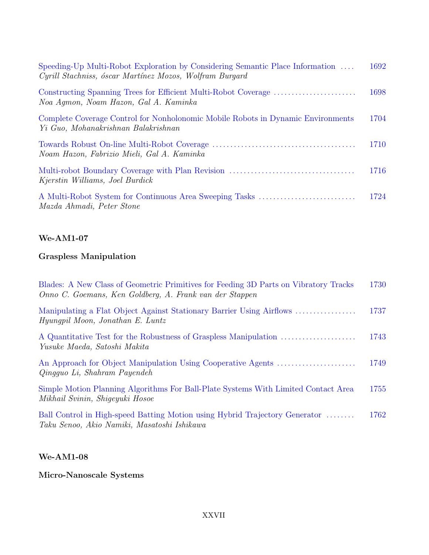| Speeding-Up Multi-Robot Exploration by Considering Semantic Place Information<br>Cyrill Stachniss, óscar Martínez Mozos, Wolfram Burgard | 1692 |
|------------------------------------------------------------------------------------------------------------------------------------------|------|
| Noa Aqmon, Noam Hazon, Gal A. Kaminka                                                                                                    | 1698 |
| Complete Coverage Control for Nonholonomic Mobile Robots in Dynamic Environments<br>Yi Guo, Mohanakrishnan Balakrishnan                  | 1704 |
| Noam Hazon, Fabrizio Mieli, Gal A. Kaminka                                                                                               | 1710 |
| Kjerstin Williams, Joel Burdick                                                                                                          | 1716 |
| Mazda Ahmadi, Peter Stone                                                                                                                | 1724 |

# **Graspless Manipulation**

| Blades: A New Class of Geometric Primitives for Feeding 3D Parts on Vibratory Tracks<br>Onno C. Goemans, Ken Goldberg, A. Frank van der Stappen | 1730 |
|-------------------------------------------------------------------------------------------------------------------------------------------------|------|
| Manipulating a Flat Object Against Stationary Barrier Using Airflows<br>Hyunqpil Moon, Jonathan E. Luntz                                        | 1737 |
| Yusuke Maeda, Satoshi Makita                                                                                                                    | 1743 |
| Qingguo Li, Shahram Payendeh                                                                                                                    | 1749 |
| Simple Motion Planning Algorithms For Ball-Plate Systems With Limited Contact Area<br>Mikhail Svinin, Shiqeyuki Hosoe                           | 1755 |
| Ball Control in High-speed Batting Motion using Hybrid Trajectory Generator<br>Taku Senoo, Akio Namiki, Masatoshi Ishikawa                      | 1762 |

## **We-AM1-08**

**Micro-Nanoscale Systems**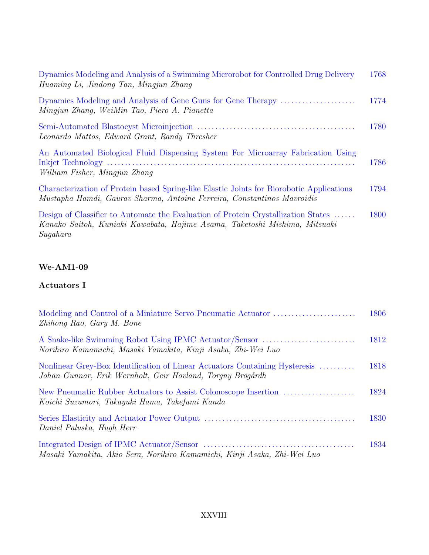| Dynamics Modeling and Analysis of a Swimming Microrobot for Controlled Drug Delivery<br>Huaming Li, Jindong Tan, Mingjun Zhang                                      | 1768 |
|---------------------------------------------------------------------------------------------------------------------------------------------------------------------|------|
| Dynamics Modeling and Analysis of Gene Guns for Gene Therapy<br>Mingjun Zhang, WeiMin Tao, Piero A. Pianetta                                                        | 1774 |
| Leonardo Mattos, Edward Grant, Randy Thresher                                                                                                                       | 1780 |
| An Automated Biological Fluid Dispensing System For Microarray Fabrication Using<br>William Fisher, Mingjun Zhang                                                   | 1786 |
| Characterization of Protein based Spring-like Elastic Joints for Biorobotic Applications<br>Mustapha Hamdi, Gaurav Sharma, Antoine Ferreira, Constantinos Mavroidis | 1794 |
| Design of Classifier to Automate the Evaluation of Protein Crystallization States                                                                                   | 1800 |

Kanako Saitoh, Kuniaki Kawabata, Hajime Asama, Taketoshi Mishima, Mitsuaki Sugahara

### **We-AM1-09**

#### **Actuators I**

| Zhihong Rao, Gary M. Bone                                                                                                                 | 1806 |
|-------------------------------------------------------------------------------------------------------------------------------------------|------|
| A Snake-like Swimming Robot Using IPMC Actuator/Sensor<br>Norihiro Kamamichi, Masaki Yamakita, Kinji Asaka, Zhi-Wei Luo                   | 1812 |
| Nonlinear Grey-Box Identification of Linear Actuators Containing Hysteresis<br>Johan Gunnar, Erik Wernholt, Geir Hovland, Torqny Brogårdh | 1818 |
| Koichi Suzumori, Takayuki Hama, Takefumi Kanda                                                                                            | 1824 |
| Daniel Paluska, Hugh Herr                                                                                                                 | 1830 |
| Masaki Yamakita, Akio Sera, Norihiro Kamamichi, Kinji Asaka, Zhi-Wei Luo                                                                  | 1834 |

#### XXVIII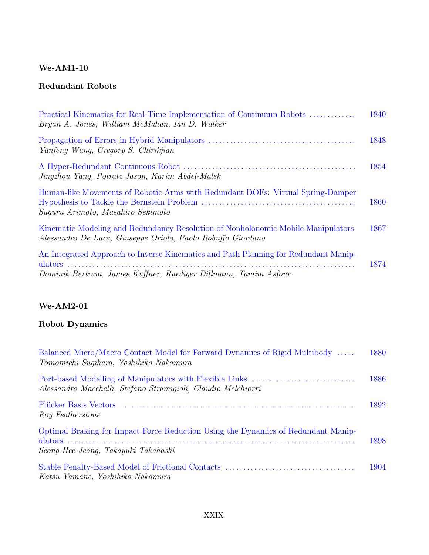### **Redundant Robots**

| Practical Kinematics for Real-Time Implementation of Continuum Robots<br>Bryan A. Jones, William McMahan, Ian D. Walker                                | 1840 |
|--------------------------------------------------------------------------------------------------------------------------------------------------------|------|
| Yunfeng Wang, Gregory S. Chirikjian                                                                                                                    | 1848 |
| Jingzhou Yang, Potratz Jason, Karim Abdel-Malek                                                                                                        | 1854 |
| Human-like Movements of Robotic Arms with Redundant DOFs: Virtual Spring-Damper<br>Suguru Arimoto, Masahiro Sekimoto                                   | 1860 |
| Kinematic Modeling and Redundancy Resolution of Nonholonomic Mobile Manipulators<br>Alessandro De Luca, Giuseppe Oriolo, Paolo Robuffo Giordano        | 1867 |
| An Integrated Approach to Inverse Kinematics and Path Planning for Redundant Manip-<br>Dominik Bertram, James Kuffner, Ruediger Dillmann, Tamim Asfour | 1874 |

### **We-AM2-01**

# **Robot Dynamics**

| Balanced Micro/Macro Contact Model for Forward Dynamics of Rigid Multibody<br>Tomomichi Sugihara, Yoshihiko Nakamura     | 1880 |
|--------------------------------------------------------------------------------------------------------------------------|------|
| Alessandro Macchelli, Stefano Stramigioli, Claudio Melchiorri                                                            | 1886 |
| Roy Featherstone                                                                                                         | 1892 |
| Optimal Braking for Impact Force Reduction Using the Dynamics of Redundant Manip-<br>Seong-Hee Jeong, Takayuki Takahashi | 1898 |
| Katsu Yamane, Yoshihiko Nakamura                                                                                         | 1904 |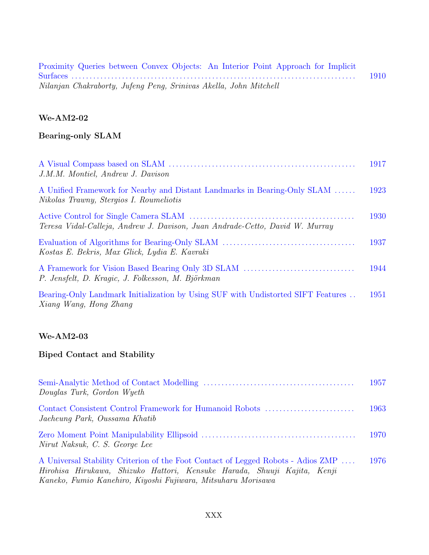| Proximity Queries between Convex Objects: An Interior Point Approach for Implicit |      |
|-----------------------------------------------------------------------------------|------|
|                                                                                   | 1910 |
| Nilanjan Chakraborty, Jufeng Peng, Srinivas Akella, John Mitchell                 |      |

### **Bearing-only SLAM**

| J.M.M. Montiel, Andrew J. Davison                                                                                    | 1917 |
|----------------------------------------------------------------------------------------------------------------------|------|
| A Unified Framework for Nearby and Distant Landmarks in Bearing-Only SLAM<br>Nikolas Trawny, Stergios I. Roumeliotis | 1923 |
| Teresa Vidal-Calleja, Andrew J. Davison, Juan Andrade-Cetto, David W. Murray                                         | 1930 |
| Kostas E. Bekris, Max Glick, Lydia E. Kavraki                                                                        | 1937 |
| P. Jensfelt, D. Kragic, J. Folkesson, M. Björkman                                                                    | 1944 |
| Bearing-Only Landmark Initialization by Using SUF with Undistorted SIFT Features<br>Xiang Wang, Hong Zhang           | 1951 |

#### **We-AM2-03**

#### **Biped Contact and Stability**

| Douglas Turk, Gordon Wyeth                                                                                                                                                                                                   | 1957 |
|------------------------------------------------------------------------------------------------------------------------------------------------------------------------------------------------------------------------------|------|
| Contact Consistent Control Framework for Humanoid Robots<br>Jaeheung Park, Oussama Khatib                                                                                                                                    | 1963 |
| Nirut Naksuk, C. S. George Lee                                                                                                                                                                                               | 1970 |
| A Universal Stability Criterion of the Foot Contact of Legged Robots - Adios ZMP<br>Hirohisa Hirukawa, Shizuko Hattori, Kensuke Harada, Shuuji Kajita, Kenji<br>Kaneko, Fumio Kanehiro, Kiyoshi Fujiwara, Mitsuharu Morisawa | 1976 |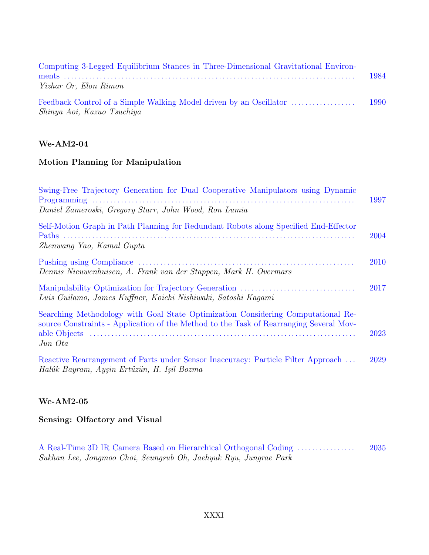| Computing 3-Legged Equilibrium Stances in Three-Dimensional Gravitational Environ- |      |
|------------------------------------------------------------------------------------|------|
|                                                                                    | 1984 |
| Yizhar Or, Elon Rimon                                                              |      |
|                                                                                    | 1990 |
| Shinya Aoi, Kazuo Tsuchiya                                                         |      |

#### **Motion Planning for Manipulation**

| Swing-Free Trajectory Generation for Dual Cooperative Manipulators using Dynamic                                                                                                      | 1997 |
|---------------------------------------------------------------------------------------------------------------------------------------------------------------------------------------|------|
| Daniel Zameroski, Gregory Starr, John Wood, Ron Lumia                                                                                                                                 |      |
| Self-Motion Graph in Path Planning for Redundant Robots along Specified End-Effector<br>Zhenwang Yao, Kamal Gupta                                                                     | 2004 |
| Dennis Nieuwenhuisen, A. Frank van der Stappen, Mark H. Overmars                                                                                                                      | 2010 |
| Luis Guilamo, James Kuffner, Koichi Nishiwaki, Satoshi Kaqami                                                                                                                         | 2017 |
| Searching Methodology with Goal State Optimization Considering Computational Re-<br>source Constraints - Application of the Method to the Task of Rearranging Several Mov-<br>Jun Ota | 2023 |
| Reactive Rearrangement of Parts under Sensor Inaccuracy: Particle Filter Approach<br>Halûk Bayram, Ayşin Ertüzün, H. Işil Bozma                                                       | 2029 |

#### **We-AM2-05**

#### **Sensing: Olfactory and Visual**

A Real-Time 3D IR Camera Based on Hierarchical Orthogonal Coding . . . . . . . . . . . . . . . . 2035 Sukhan Lee, Jongmoo Choi, Seungsub Oh, Jaehyuk Ryu, Jungrae Park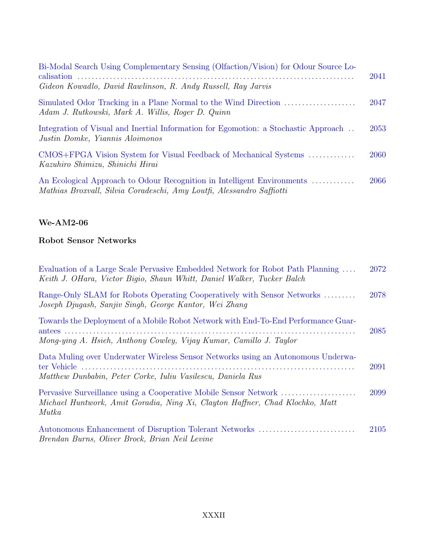| Bi-Modal Search Using Complementary Sensing (Olfaction/Vision) for Odour Source Lo-<br>Gideon Kowadlo, David Rawlinson, R. Andy Russell, Ray Jarvis | 2041 |
|-----------------------------------------------------------------------------------------------------------------------------------------------------|------|
| Simulated Odor Tracking in a Plane Normal to the Wind Direction<br>Adam J. Rutkowski, Mark A. Willis, Roger D. Quinn                                | 2047 |
| Integration of Visual and Inertial Information for Egomotion: a Stochastic Approach<br>Justin Domke, Yiannis Aloimonos                              | 2053 |
| CMOS+FPGA Vision System for Visual Feedback of Mechanical Systems<br>Kazuhiro Shimizu, Shinichi Hirai                                               | 2060 |
| An Ecological Approach to Odour Recognition in Intelligent Environments<br>Mathias Broxvall, Silvia Coradeschi, Amy Loutfi, Alessandro Saffiotti    | 2066 |

## **Robot Sensor Networks**

| Evaluation of a Large Scale Pervasive Embedded Network for Robot Path Planning<br>Keith J. OHara, Victor Bigio, Shaun Whitt, Daniel Walker, Tucker Balch | 2072 |
|----------------------------------------------------------------------------------------------------------------------------------------------------------|------|
| Range-Only SLAM for Robots Operating Cooperatively with Sensor Networks<br>Joseph Djugash, Sanjiv Singh, George Kantor, Wei Zhang                        | 2078 |
| Towards the Deployment of a Mobile Robot Network with End-To-End Performance Guar-                                                                       | 2085 |
| Mong-ying A. Hsieh, Anthony Cowley, Vijay Kumar, Camillo J. Taylor                                                                                       |      |
| Data Muling over Underwater Wireless Sensor Networks using an Autonomous Underwa-<br>Matthew Dunbabin, Peter Corke, Iuliu Vasilescu, Daniela Rus         | 2091 |
| Michael Huntwork, Amit Goradia, Ning Xi, Clayton Haffner, Chad Klochko, Matt<br><i>Mutka</i>                                                             | 2099 |
| Autonomous Enhancement of Disruption Tolerant Networks<br>Brendan Burns, Oliver Brock, Brian Neil Levine                                                 | 2105 |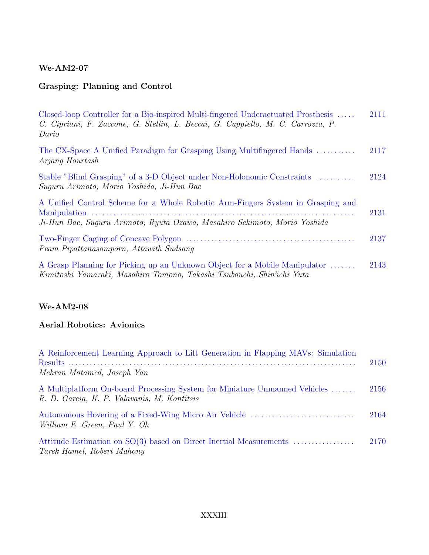### **Grasping: Planning and Control**

| Closed-loop Controller for a Bio-inspired Multi-fingered Underactuated Prosthesis<br>C. Cipriani, F. Zaccone, G. Stellin, L. Beccai, G. Cappiello, M. C. Carrozza, P.<br>Dario | 2111 |
|--------------------------------------------------------------------------------------------------------------------------------------------------------------------------------|------|
| The CX-Space A Unified Paradigm for Grasping Using Multifingered Hands<br>Arjang Hourtash                                                                                      | 2117 |
| Stable "Blind Grasping" of a 3-D Object under Non-Holonomic Constraints<br>Suguru Arimoto, Morio Yoshida, Ji-Hun Bae                                                           | 2124 |
| A Unified Control Scheme for a Whole Robotic Arm-Fingers System in Grasping and<br>Ji-Hun Bae, Suguru Arimoto, Ryuta Ozawa, Masahiro Sekimoto, Morio Yoshida                   | 2131 |
| Peam Pipattanasomporn, Attawith Sudsang                                                                                                                                        | 2137 |
| A Grasp Planning for Picking up an Unknown Object for a Mobile Manipulator<br>Kimitoshi Yamazaki, Masahiro Tomono, Takashi Tsubouchi, Shin'ichi Yuta                           | 2143 |

#### **We-AM2-08**

### **Aerial Robotics: Avionics**

| A Reinforcement Learning Approach to Lift Generation in Flapping MAVs: Simulation                                         | 2150 |
|---------------------------------------------------------------------------------------------------------------------------|------|
| Mehran Motamed, Joseph Yan                                                                                                |      |
| A Multiplatform On-board Processing System for Miniature Unmanned Vehicles<br>R. D. Garcia, K. P. Valavanis, M. Kontitsis | 2156 |
| Autonomous Hovering of a Fixed-Wing Micro Air Vehicle<br>William E. Green, Paul Y. Oh                                     | 2164 |
| Attitude Estimation on SO(3) based on Direct Inertial Measurements<br>Tarek Hamel, Robert Mahony                          | 2170 |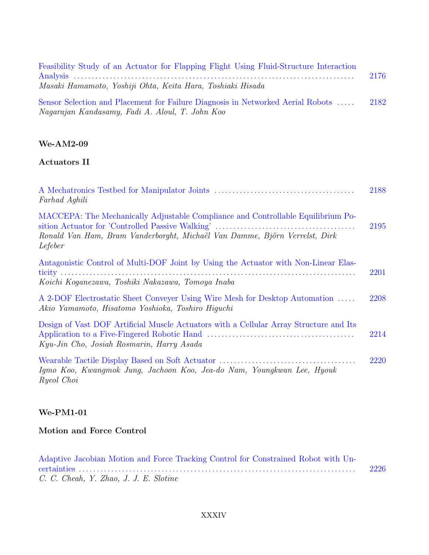| Feasibility Study of an Actuator for Flapping Flight Using Fluid-Structure Interaction                                             | 2176 |
|------------------------------------------------------------------------------------------------------------------------------------|------|
| Masaki Hamamoto, Yoshiji Ohta, Keita Hara, Toshiaki Hisada                                                                         |      |
| Sensor Selection and Placement for Failure Diagnosis in Networked Aerial Robots<br>Nagarajan Kandasamy, Fadi A. Aloul, T. John Koo | 2182 |

### **Actuators II**

| Farhad Aghili                                                                                                                                                             | 2188 |
|---------------------------------------------------------------------------------------------------------------------------------------------------------------------------|------|
| MACCEPA: The Mechanically Adjustable Compliance and Controllable Equilibrium Po-<br>Ronald Van Ham, Bram Vanderborght, Michaël Van Damme, Björn Verrelst, Dirk<br>Lefeber | 2195 |
| Antagonistic Control of Multi-DOF Joint by Using the Actuator with Non-Linear Elas-<br>Koichi Koqanezawa, Toshiki Nakazawa, Tomoya Inaba                                  | 2201 |
| A 2-DOF Electrostatic Sheet Conveyer Using Wire Mesh for Desktop Automation<br>Akio Yamamoto, Hisatomo Yoshioka, Toshiro Higuchi                                          | 2208 |
| Design of Vast DOF Artificial Muscle Actuators with a Cellular Array Structure and Its<br>Kyu-Jin Cho, Josiah Rosmarin, Harry Asada                                       | 2214 |
| Igmo Koo, Kwangmok Jung, Jachoon Koo, Jea-do Nam, Youngkwan Lee, Hyouk<br>Ryeol Choi                                                                                      | 2220 |

### **We-PM1-01**

### **Motion and Force Control**

| Adaptive Jacobian Motion and Force Tracking Control for Constrained Robot with Un- |      |
|------------------------------------------------------------------------------------|------|
|                                                                                    | 2226 |
| C. C. Cheah, Y. Zhao, J. J. E. Slotine                                             |      |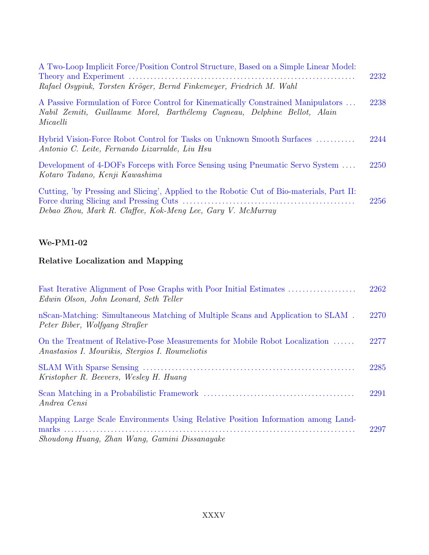| A Two-Loop Implicit Force/Position Control Structure, Based on a Simple Linear Model:<br>Rafael Osypiuk, Torsten Kröger, Bernd Finkemeyer, Friedrich M. Wahl               | 2232 |
|----------------------------------------------------------------------------------------------------------------------------------------------------------------------------|------|
| A Passive Formulation of Force Control for Kinematically Constrained Manipulators<br>Nabil Zemiti, Guillaume Morel, Barthélemy Cagneau, Delphine Bellot, Alain<br>Micaelli | 2238 |
| Hybrid Vision-Force Robot Control for Tasks on Unknown Smooth Surfaces<br>Antonio C. Leite, Fernando Lizarralde, Liu Hsu                                                   | 2244 |
| Development of 4-DOFs Forceps with Force Sensing using Pneumatic Servo System<br>Kotaro Tadano, Kenji Kawashima                                                            | 2250 |
| Cutting, 'by Pressing and Slicing', Applied to the Robotic Cut of Bio-materials, Part II:<br>Debao Zhou, Mark R. Claffee, Kok-Meng Lee, Gary V. McMurray                   | 2256 |

# **Relative Localization and Mapping**

| Edwin Olson, John Leonard, Seth Teller                                                                                            | 2262 |
|-----------------------------------------------------------------------------------------------------------------------------------|------|
| nScan-Matching: Simultaneous Matching of Multiple Scans and Application to SLAM.<br>Peter Biber, Wolfgang Straßer                 | 2270 |
| On the Treatment of Relative-Pose Measurements for Mobile Robot Localization<br>Anastasios I. Mourikis, Stergios I. Roumeliotis   | 2277 |
| Kristopher R. Beevers, Wesley H. Huang                                                                                            | 2285 |
| Andrea Censi                                                                                                                      | 2291 |
| Mapping Large Scale Environments Using Relative Position Information among Land-<br>Shoudong Huang, Zhan Wang, Gamini Dissanayake | 2297 |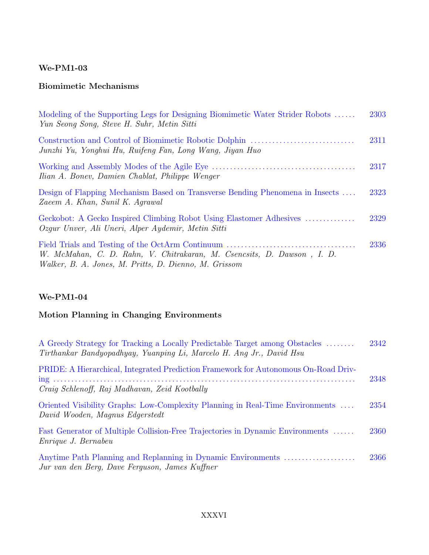### **Biomimetic Mechanisms**

| Modeling of the Supporting Legs for Designing Biomimetic Water Strider Robots<br>Yun Seong Song, Steve H. Suhr, Metin Sitti     | 2303 |
|---------------------------------------------------------------------------------------------------------------------------------|------|
| Junzhi Yu, Yonghui Hu, Ruifeng Fan, Long Wang, Jiyan Huo                                                                        | 2311 |
| Ilian A. Bonev, Damien Chablat, Philippe Wenger                                                                                 | 2317 |
| Design of Flapping Mechanism Based on Transverse Bending Phenomena in Insects<br>Zaeem A. Khan, Sunil K. Agrawal                | 2323 |
| Geckobot: A Gecko Inspired Climbing Robot Using Elastomer Adhesives<br>Ozgur Unver, Ali Uneri, Alper Aydemir, Metin Sitti       | 2329 |
| W. McMahan, C. D. Rahn, V. Chitrakaran, M. Csencsits, D. Dawson, I. D.<br>Walker, B. A. Jones, M. Pritts, D. Dienno, M. Grissom | 2336 |

#### **We-PM1-04**

## **Motion Planning in Changing Environments**

| A Greedy Strategy for Tracking a Locally Predictable Target among Obstacles<br>Tirthankar Bandyopadhyay, Yuanping Li, Marcelo H. Ang Jr., David Hsu | 2342 |
|-----------------------------------------------------------------------------------------------------------------------------------------------------|------|
| PRIDE: A Hierarchical, Integrated Prediction Framework for Autonomous On-Road Driv-<br>Craig Schlenoff, Raj Madhavan, Zeid Kootbally                | 2348 |
| Oriented Visibility Graphs: Low-Complexity Planning in Real-Time Environments<br>David Wooden, Magnus Edgerstedt                                    | 2354 |
| Fast Generator of Multiple Collision-Free Trajectories in Dynamic Environments<br>Enrique J. Bernabeu                                               | 2360 |
| Anytime Path Planning and Replanning in Dynamic Environments<br>Jur van den Berg, Dave Ferguson, James Kuffner                                      | 2366 |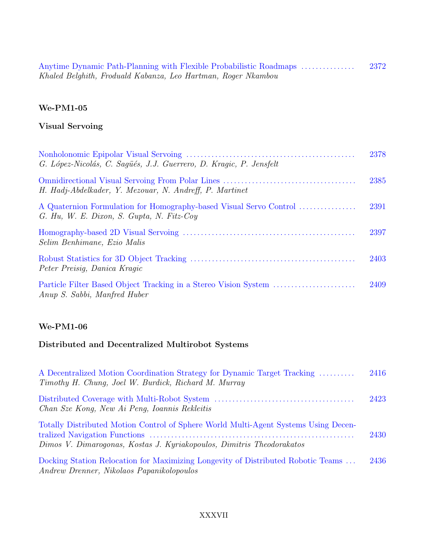| Anytime Dynamic Path-Planning with Flexible Probabilistic Roadmaps | 2372 |
|--------------------------------------------------------------------|------|
| Khaled Belghith, Froduald Kabanza, Leo Hartman, Roger Nkambou      |      |

## **Visual Servoing**

| G. López-Nicolás, C. Saqués, J.J. Guerrero, D. Kragic, P. Jensfelt                                              | 2378 |
|-----------------------------------------------------------------------------------------------------------------|------|
| H. Hadj-Abdelkader, Y. Mezouar, N. Andreff, P. Martinet                                                         | 2385 |
| A Quaternion Formulation for Homography-based Visual Servo Control<br>G. Hu, W. E. Dixon, S. Gupta, N. Fitz-Coy | 2391 |
| Selim Benhimane, Ezio Malis                                                                                     | 2397 |
| Peter Preisig, Danica Kragic                                                                                    | 2403 |
| Anup S. Sabbi, Manfred Huber                                                                                    | 2409 |

#### **We-PM1-06**

# **Distributed and Decentralized Multirobot Systems**

| A Decentralized Motion Coordination Strategy for Dynamic Target Tracking<br>Timothy H. Chung, Joel W. Burdick, Richard M. Murray                             | 2416 |
|--------------------------------------------------------------------------------------------------------------------------------------------------------------|------|
| Chan Sze Kong, New Ai Peng, Ioannis Rekleitis                                                                                                                | 2423 |
| Totally Distributed Motion Control of Sphere World Multi-Agent Systems Using Decen-<br>Dimos V. Dimarogonas, Kostas J. Kyriakopoulos, Dimitris Theodorakatos | 2430 |
| Docking Station Relocation for Maximizing Longevity of Distributed Robotic Teams<br>Andrew Drenner, Nikolaos Papanikolopoulos                                | 2436 |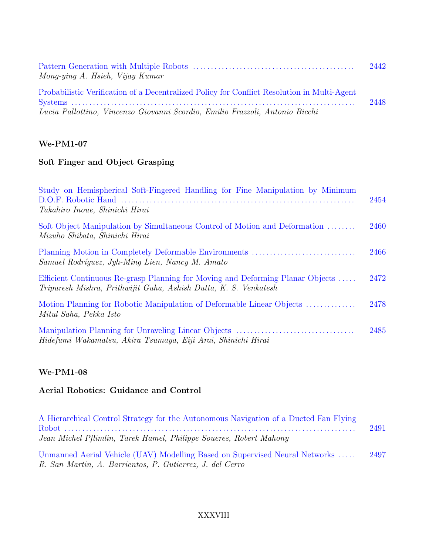| Mong-ying A. Hsieh, Vijay Kumar                                                             | 2442 |
|---------------------------------------------------------------------------------------------|------|
| Probabilistic Verification of a Decentralized Policy for Conflict Resolution in Multi-Agent | 2448 |
| Lucia Pallottino, Vincenzo Giovanni Scordio, Emilio Frazzoli, Antonio Bicchi                |      |

## **Soft Finger and Object Grasping**

| Study on Hemispherical Soft-Fingered Handling for Fine Manipulation by Minimum<br>Takahiro Inoue, Shinichi Hirai                                   | 2454 |
|----------------------------------------------------------------------------------------------------------------------------------------------------|------|
| Soft Object Manipulation by Simultaneous Control of Motion and Deformation<br>Mizuho Shibata, Shinichi Hirai                                       | 2460 |
| Samuel Rodríguez, Jyh-Ming Lien, Nancy M. Amato                                                                                                    | 2466 |
| Efficient Continuous Re-grasp Planning for Moving and Deforming Planar Objects<br>Tripuresh Mishra, Prithwijit Guha, Ashish Dutta, K. S. Venkatesh | 2472 |
| Motion Planning for Robotic Manipulation of Deformable Linear Objects<br>Mitul Saha, Pekka Isto                                                    | 2478 |
| Hidefumi Wakamatsu, Akira Tsumaya, Eiji Arai, Shinichi Hirai                                                                                       | 2485 |

## **We-PM1-08**

### **Aerial Robotics: Guidance and Control**

| A Hierarchical Control Strategy for the Autonomous Navigation of a Ducted Fan Flying                                                    | 2491 |
|-----------------------------------------------------------------------------------------------------------------------------------------|------|
| Jean Michel Pflimlin, Tarek Hamel, Philippe Soueres, Robert Mahony                                                                      |      |
| Unmanned Aerial Vehicle (UAV) Modelling Based on Supervised Neural Networks<br>R. San Martin, A. Barrientos, P. Gutierrez, J. del Cerro | 2497 |

#### XXXVIII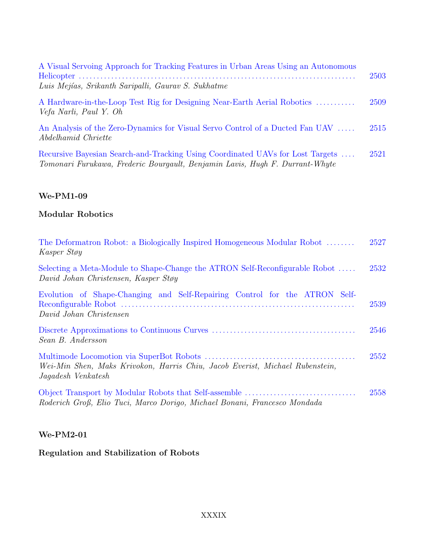| A Visual Servoing Approach for Tracking Features in Urban Areas Using an Autonomous<br>Luis Mejías, Srikanth Saripalli, Gaurav S. Sukhatme                     | 2503 |
|----------------------------------------------------------------------------------------------------------------------------------------------------------------|------|
| A Hardware-in-the-Loop Test Rig for Designing Near-Earth Aerial Robotics<br>Vefa Narli, Paul Y. Oh                                                             | 2509 |
| An Analysis of the Zero-Dynamics for Visual Servo Control of a Ducted Fan UAV<br>Abdelhamid Chriette                                                           | 2515 |
| Recursive Bayesian Search-and-Tracking Using Coordinated UAVs for Lost Targets<br>Tomonari Furukawa, Frederic Bourgault, Benjamin Lavis, Hugh F. Durrant-Whyte | 2521 |

### **Modular Robotics**

| The Deformation Robot: a Biologically Inspired Homogeneous Modular Robot<br>Kasper Støy                             | 2527 |
|---------------------------------------------------------------------------------------------------------------------|------|
| Selecting a Meta-Module to Shape-Change the ATRON Self-Reconfigurable Robot<br>David Johan Christensen, Kasper Støy | 2532 |
| Evolution of Shape-Changing and Self-Repairing Control for the ATRON Self-<br>David Johan Christensen               | 2539 |
| Sean B. Andersson                                                                                                   | 2546 |
| Wei-Min Shen, Maks Krivokon, Harris Chiu, Jacob Everist, Michael Rubenstein,<br>Jagadesh Venkatesh                  | 2552 |
| Roderich Groß, Elio Tuci, Marco Dorigo, Michael Bonani, Francesco Mondada                                           | 2558 |

#### **We-PM2-01**

# **Regulation and Stabilization of Robots**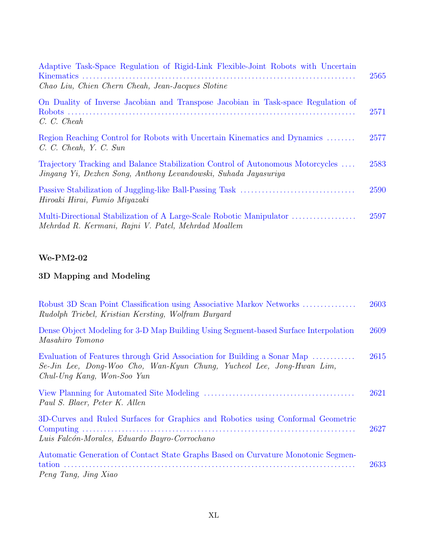| Adaptive Task-Space Regulation of Rigid-Link Flexible-Joint Robots with Uncertain<br>Chao Liu, Chien Chern Cheah, Jean-Jacques Slotine             | 2565 |
|----------------------------------------------------------------------------------------------------------------------------------------------------|------|
| On Duality of Inverse Jacobian and Transpose Jacobian in Task-space Regulation of<br>C. C. Cheah                                                   | 2571 |
| Region Reaching Control for Robots with Uncertain Kinematics and Dynamics<br>C. C. Cheah, Y. C. Sun                                                | 2577 |
| Trajectory Tracking and Balance Stabilization Control of Autonomous Motorcycles<br>Jingang Yi, Dezhen Song, Anthony Levandowski, Suhada Jayasuriya | 2583 |
| Hiroaki Hirai, Fumio Miyazaki                                                                                                                      | 2590 |
| Mehrdad R. Kermani, Rajni V. Patel, Mehrdad Moallem                                                                                                | 2597 |

#### **We-PM2-02**

# **3D Mapping and Modeling**

| Robust 3D Scan Point Classification using Associative Markov Networks<br>Rudolph Triebel, Kristian Kersting, Wolfram Burgard                                                      | 2603 |
|-----------------------------------------------------------------------------------------------------------------------------------------------------------------------------------|------|
| Dense Object Modeling for 3-D Map Building Using Segment-based Surface Interpolation<br>Masahiro Tomono                                                                           | 2609 |
| Evaluation of Features through Grid Association for Building a Sonar Map<br>Se-Jin Lee, Dong-Woo Cho, Wan-Kyun Chung, Yucheol Lee, Jong-Hwan Lim,<br>$Chul-Ung Kang, Won-Soo Yun$ | 2615 |
| Paul S. Blaer, Peter K. Allen                                                                                                                                                     | 2621 |
| 3D-Curves and Ruled Surfaces for Graphics and Robotics using Conformal Geometric<br>Luis Falcón-Morales, Eduardo Bayro-Corrochano                                                 | 2627 |
| Automatic Generation of Contact State Graphs Based on Curvature Monotonic Segmen-<br>Peng Tang, Jing Xiao                                                                         | 2633 |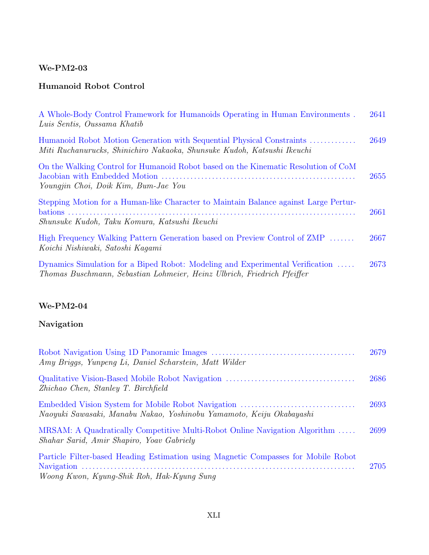#### **We-PM2-03**

### **Humanoid Robot Control**

| A Whole-Body Control Framework for Humanoids Operating in Human Environments.<br>Luis Sentis, Oussama Khatib                                             | 2641 |
|----------------------------------------------------------------------------------------------------------------------------------------------------------|------|
| Humanoid Robot Motion Generation with Sequential Physical Constraints<br>Miti Ruchanurucks, Shinichiro Nakaoka, Shunsuke Kudoh, Katsushi Ikeuchi         | 2649 |
| On the Walking Control for Humanoid Robot based on the Kinematic Resolution of CoM<br>Youngjin Choi, Doik Kim, Bum-Jae You                               | 2655 |
| Stepping Motion for a Human-like Character to Maintain Balance against Large Pertur-<br>Shunsuke Kudoh, Taku Komura, Katsushi Ikeuchi                    | 2661 |
| High Frequency Walking Pattern Generation based on Preview Control of ZMP<br>Koichi Nishiwaki, Satoshi Kaqami                                            | 2667 |
| Dynamics Simulation for a Biped Robot: Modeling and Experimental Verification<br>Thomas Buschmann, Sebastian Lohmeier, Heinz Ulbrich, Friedrich Pfeiffer | 2673 |

### **We-PM2-04**

### **Navigation**

| Amy Briggs, Yunpeng Li, Daniel Scharstein, Matt Wilder                                                                           | 2679 |
|----------------------------------------------------------------------------------------------------------------------------------|------|
| Zhichao Chen, Stanley T. Birchfield                                                                                              | 2686 |
| Naoyuki Sawasaki, Manabu Nakao, Yoshinobu Yamamoto, Keiju Okabayashi                                                             | 2693 |
| MRSAM: A Quadratically Competitive Multi-Robot Online Navigation Algorithm<br>Shahar Sarid, Amir Shapiro, Yoav Gabriely          | 2699 |
| Particle Filter-based Heading Estimation using Magnetic Compasses for Mobile Robot<br>Woong Kwon, Kyung-Shik Roh, Hak-Kyung Sung | 2705 |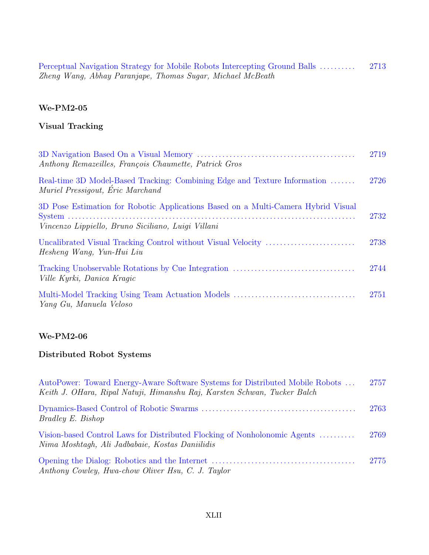Perceptual Navigation Strategy for Mobile Robots Intercepting Ground Balls . . . . . . . . . . 2713 Zheng Wang, Abhay Paranjape, Thomas Sugar, Michael McBeath

#### **We-PM2-05**

#### **Visual Tracking**

| Anthony Remazeilles, François Chaumette, Patrick Gros                                                                                   | 2719 |
|-----------------------------------------------------------------------------------------------------------------------------------------|------|
| Real-time 3D Model-Based Tracking: Combining Edge and Texture Information<br>Muriel Pressigout, Éric Marchand                           | 2726 |
| 3D Pose Estimation for Robotic Applications Based on a Multi-Camera Hybrid Visual<br>Vincenzo Lippiello, Bruno Siciliano, Luigi Villani | 2732 |
| Hesheng Wang, Yun-Hui Liu                                                                                                               | 2738 |
| <i>Ville Kyrki, Danica Kraqic</i>                                                                                                       | 2744 |
| Yang Gu, Manuela Veloso                                                                                                                 | 2751 |

#### **We-PM2-06**

#### **Distributed Robot Systems**

| AutoPower: Toward Energy-Aware Software Systems for Distributed Mobile Robots<br>Keith J. OHara, Ripal Natuji, Himanshu Raj, Karsten Schwan, Tucker Balch | 2757 |
|-----------------------------------------------------------------------------------------------------------------------------------------------------------|------|
| <i>Bradley E. Bishop</i>                                                                                                                                  | 2763 |
| Vision-based Control Laws for Distributed Flocking of Nonholonomic Agents<br>Nima Moshtaqh, Ali Jadbabaie, Kostas Daniilidis                              | 2769 |
| Anthony Cowley, Hwa-chow Oliver Hsu, C. J. Taylor                                                                                                         | 2775 |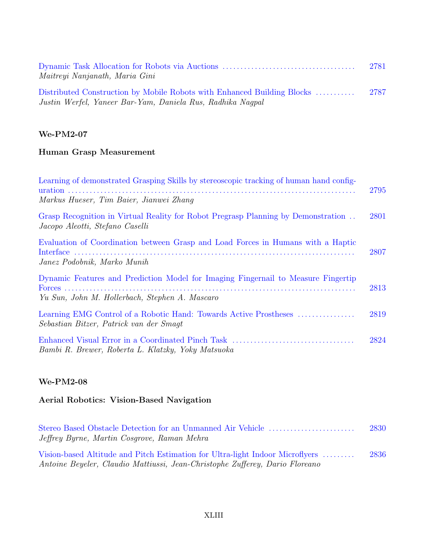| Maitreyi Nanjanath, Maria Gini                                                                                                        | 2781 |
|---------------------------------------------------------------------------------------------------------------------------------------|------|
| Distributed Construction by Mobile Robots with Enhanced Building Blocks<br>Justin Werfel, Yaneer Bar-Yam, Daniela Rus, Radhika Naqpal | 2787 |

#### **We-PM2-07**

# **Human Grasp Measurement**

| Learning of demonstrated Grasping Skills by stereoscopic tracking of human hand config-<br>Markus Hueser, Tim Baier, Jianwei Zhang  | 2795 |
|-------------------------------------------------------------------------------------------------------------------------------------|------|
| Grasp Recognition in Virtual Reality for Robot Pregrasp Planning by Demonstration<br>Jacopo Aleotti, Stefano Caselli                | 2801 |
| Evaluation of Coordination between Grasp and Load Forces in Humans with a Haptic<br>Janez Podobnik, Marko Munih                     | 2807 |
| Dynamic Features and Prediction Model for Imaging Fingernail to Measure Fingertip<br>Yu Sun, John M. Hollerbach, Stephen A. Mascaro | 2813 |
| Sebastian Bitzer, Patrick van der Smagt                                                                                             | 2819 |
| Bambi R. Brewer, Roberta L. Klatzky, Yoky Matsuoka                                                                                  | 2824 |

#### **We-PM2-08**

## **Aerial Robotics: Vision-Based Navigation**

| Jeffrey Byrne, Martin Cosgrove, Raman Mehra                                                                                                                   | 2830 |
|---------------------------------------------------------------------------------------------------------------------------------------------------------------|------|
| Vision-based Altitude and Pitch Estimation for Ultra-light Indoor Microflyers<br>Antoine Beyeler, Claudio Mattiussi, Jean-Christophe Zufferey, Dario Floreano | 2836 |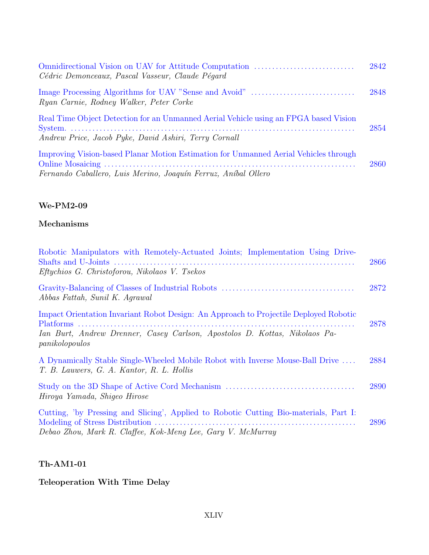| Cédric Demonceaux, Pascal Vasseur, Claude Pégard                                                                                                       | 2842 |
|--------------------------------------------------------------------------------------------------------------------------------------------------------|------|
| Ryan Carnie, Rodney Walker, Peter Corke                                                                                                                | 2848 |
| Real Time Object Detection for an Unmanned Aerial Vehicle using an FPGA based Vision<br>Andrew Price, Jacob Pyke, David Ashiri, Terry Cornall          | 2854 |
| Improving Vision-based Planar Motion Estimation for Unmanned Aerial Vehicles through<br>Fernando Caballero, Luis Merino, Joaquín Ferruz, Aníbal Ollero | 2860 |

### **We-PM2-09**

## **Mechanisms**

| Robotic Manipulators with Remotely-Actuated Joints; Implementation Using Drive-<br>Eftychios G. Christoforou, Nikolaos V. Tsekos                                                      | 2866 |
|---------------------------------------------------------------------------------------------------------------------------------------------------------------------------------------|------|
| Abbas Fattah, Sunil K. Agrawal                                                                                                                                                        | 2872 |
| Impact Orientation Invariant Robot Design: An Approach to Projectile Deployed Robotic<br>Ian Burt, Andrew Drenner, Casey Carlson, Apostolos D. Kottas, Nikolaos Pa-<br>panikolopoulos | 2878 |
| A Dynamically Stable Single-Wheeled Mobile Robot with Inverse Mouse-Ball Drive<br>T. B. Lauwers, G. A. Kantor, R. L. Hollis                                                           | 2884 |
| Hiroya Yamada, Shiqeo Hirose                                                                                                                                                          | 2890 |
| Cutting, 'by Pressing and Slicing', Applied to Robotic Cutting Bio-materials, Part I:<br>Debao Zhou, Mark R. Claffee, Kok-Meng Lee, Gary V. McMurray                                  | 2896 |

## **Th-AM1-01**

### **Teleoperation With Time Delay**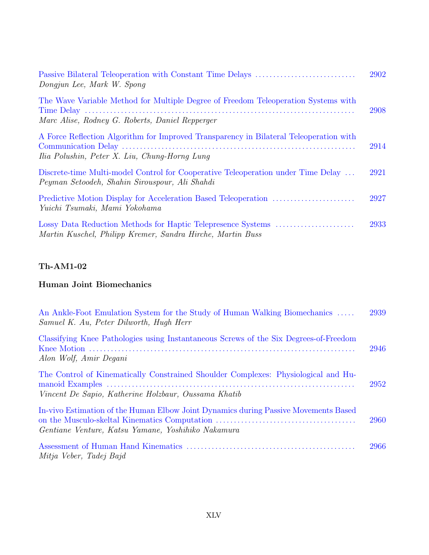| Dongjun Lee, Mark W. Spong                                                                                                              | 2902 |
|-----------------------------------------------------------------------------------------------------------------------------------------|------|
| The Wave Variable Method for Multiple Degree of Freedom Teleoperation Systems with<br>Marc Alise, Rodney G. Roberts, Daniel Repperger   | 2908 |
| A Force Reflection Algorithm for Improved Transparency in Bilateral Teleoperation with<br>Ilia Polushin, Peter X. Liu, Chung-Horng Lung | 2914 |
| Discrete-time Multi-model Control for Cooperative Teleoperation under Time Delay<br>Peyman Setoodeh, Shahin Sirouspour, Ali Shahdi      | 2921 |
| Yuichi Tsumaki, Mami Yokohama                                                                                                           | 2927 |
| Martin Kuschel, Philipp Kremer, Sandra Hirche, Martin Buss                                                                              | 2933 |

### **Human Joint Biomechanics**

| An Ankle-Foot Emulation System for the Study of Human Walking Biomechanics<br>Samuel K. Au, Peter Dilworth, Hugh Herr                      | 2939 |
|--------------------------------------------------------------------------------------------------------------------------------------------|------|
| Classifying Knee Pathologies using Instantaneous Screws of the Six Degrees-of-Freedom<br>Alon Wolf, Amir Degani                            | 2946 |
| The Control of Kinematically Constrained Shoulder Complexes: Physiological and Hu-<br>Vincent De Sapio, Katherine Holzbaur, Oussama Khatib | 2952 |
| In-vivo Estimation of the Human Elbow Joint Dynamics during Passive Movements Based<br>Gentiane Venture, Katsu Yamane, Yoshihiko Nakamura  | 2960 |
| Mitja Veber, Tadej Bajd                                                                                                                    | 2966 |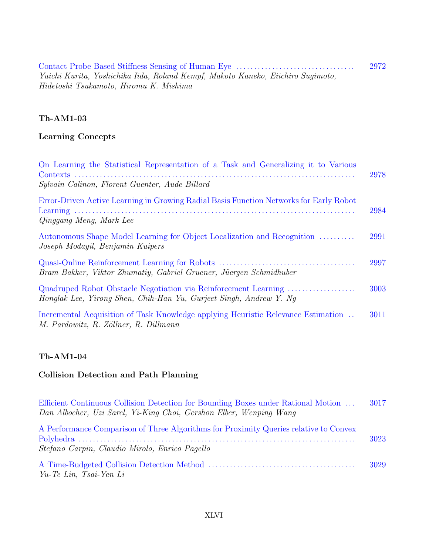Contact Probe Based Stiffness Sensing of Human Eye . . . . . . . . . . . . . . . . . . . . . . . . . . . . . . . . . 2972 Yuichi Kurita, Yoshichika Iida, Roland Kempf, Makoto Kaneko, Eiichiro Sugimoto, Hidetoshi Tsukamoto, Hiromu K. Mishima

#### **Th-AM1-03**

#### **Learning Concepts**

| On Learning the Statistical Representation of a Task and Generalizing it to Various<br>Sylvain Calinon, Florent Guenter, Aude Billard | 2978 |
|---------------------------------------------------------------------------------------------------------------------------------------|------|
| Error-Driven Active Learning in Growing Radial Basis Function Networks for Early Robot<br>Qinggang Meng, Mark Lee                     | 2984 |
| Autonomous Shape Model Learning for Object Localization and Recognition<br>Joseph Modayil, Benjamin Kuipers                           | 2991 |
| Bram Bakker, Viktor Zhumatiy, Gabriel Gruener, Jüergen Schmidhuber                                                                    | 2997 |
| Quadruped Robot Obstacle Negotiation via Reinforcement Learning<br>Honglak Lee, Yirong Shen, Chih-Han Yu, Gurjeet Singh, Andrew Y. Ng | 3003 |
| Incremental Acquisition of Task Knowledge applying Heuristic Relevance Estimation<br>M. Pardowitz, R. Zöllner, R. Dillmann            | 3011 |

#### **Th-AM1-04**

#### **Collision Detection and Path Planning**

| Efficient Continuous Collision Detection for Bounding Boxes under Rational Motion<br>Dan Albocher, Uzi Sarel, Yi-King Choi, Gershon Elber, Wenping Wang | 3017 |
|---------------------------------------------------------------------------------------------------------------------------------------------------------|------|
| A Performance Comparison of Three Algorithms for Proximity Queries relative to Convex<br>Stefano Carpin, Claudio Mirolo, Enrico Pagello                 | 3023 |
| Yu-Te Lin, Tsai-Yen Li                                                                                                                                  | 3029 |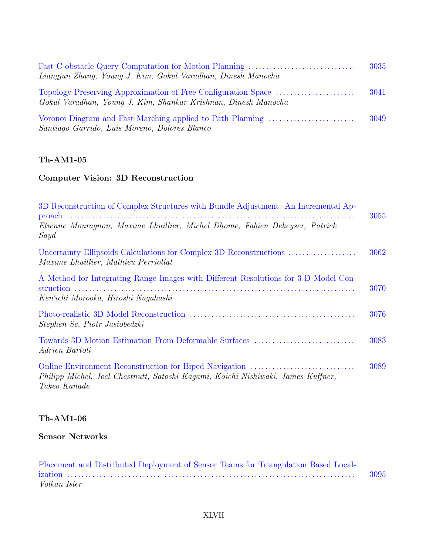| Liangjun Zhang, Young J. Kim, Gokul Varadhan, Dinesh Manocha                                                | 3035 |
|-------------------------------------------------------------------------------------------------------------|------|
| Gokul Varadhan, Young J. Kim, Shankar Krishnan, Dinesh Manocha                                              | 3041 |
| Voronoi Diagram and Fast Marching applied to Path Planning<br>Santiago Garrido, Luis Moreno, Dolores Blanco | 3049 |

### **Computer Vision: 3D Reconstruction**

| 3D Reconstruction of Complex Structures with Bundle Adjustment: An Incremental Ap-                                         | 3055 |
|----------------------------------------------------------------------------------------------------------------------------|------|
| Etienne Mouragnon, Maxime Lhuillier, Michel Dhome, Fabien Dekeyser, Patrick<br>Sayd                                        |      |
| <i>Maxime Lhuillier, Mathieu Perriollat</i>                                                                                | 3062 |
| A Method for Integrating Range Images with Different Resolutions for 3-D Model Con-<br>Ken'ichi Morooka, Hiroshi Nagahashi | 3070 |
| Stephen Se, Piotr Jasiobedzki                                                                                              | 3076 |
| Towards 3D Motion Estimation From Deformable Surfaces<br>Adrien Bartoli                                                    | 3083 |
| Philipp Michel, Joel Chestnutt, Satoshi Kagami, Koichi Nishiwaki, James Kuffner,<br>Takeo Kanade                           | 3089 |

## **Th-AM1-06**

### **Sensor Networks**

| Placement and Distributed Deployment of Sensor Teams for Triangulation Based Local- |      |
|-------------------------------------------------------------------------------------|------|
|                                                                                     | 3095 |
| Volkan Isler                                                                        |      |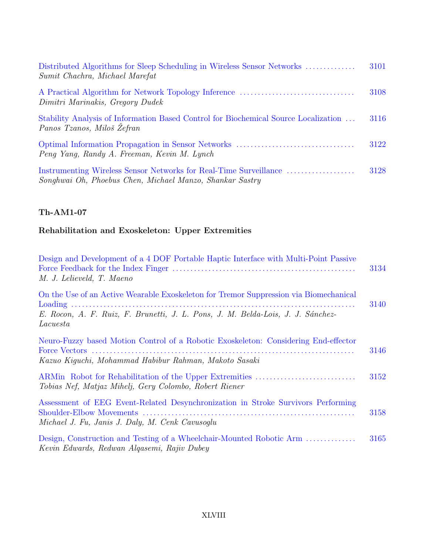| Distributed Algorithms for Sleep Scheduling in Wireless Sensor Networks<br>Sumit Chachra, Michael Marefat                     | 3101 |
|-------------------------------------------------------------------------------------------------------------------------------|------|
| Dimitri Marinakis, Gregory Dudek                                                                                              | 3108 |
| Stability Analysis of Information Based Control for Biochemical Source Localization<br>Panos Tzanos, Miloš Žefran             | 3116 |
| Peng Yang, Randy A. Freeman, Kevin M. Lynch                                                                                   | 3122 |
| Instrumenting Wireless Sensor Networks for Real-Time Surveillance<br>Songhwai Oh, Phoebus Chen, Michael Manzo, Shankar Sastry | 3128 |

# **Rehabilitation and Exoskeleton: Upper Extremities**

| Design and Development of a 4 DOF Portable Haptic Interface with Multi-Point Passive<br>M. J. Lelieveld, T. Maeno                            | 3134 |
|----------------------------------------------------------------------------------------------------------------------------------------------|------|
| On the Use of an Active Wearable Exoskeleton for Tremor Suppression via Biomechanical                                                        | 3140 |
| E. Rocon, A. F. Ruiz, F. Brunetti, J. L. Pons, J. M. Belda-Lois, J. J. Sánchez-<br>Lacuesta                                                  |      |
| Neuro-Fuzzy based Motion Control of a Robotic Exoskeleton: Considering End-effector<br>Kazuo Kiquchi, Mohammad Habibur Rahman, Makoto Sasaki | 3146 |
| Tobias Nef, Matjaz Mihelj, Gery Colombo, Robert Riener                                                                                       | 3152 |
| Assessment of EEG Event-Related Desynchronization in Stroke Survivors Performing<br>Michael J. Fu, Janis J. Daly, M. Cenk Cavusoglu          | 3158 |
| Design, Construction and Testing of a Wheelchair-Mounted Robotic Arm<br>Kevin Edwards, Redwan Algasemi, Rajiv Dubey                          | 3165 |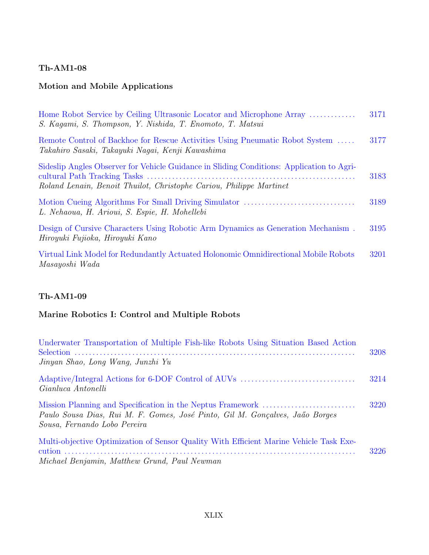### **Motion and Mobile Applications**

| Home Robot Service by Ceiling Ultrasonic Locator and Microphone Array<br>S. Kagami, S. Thompson, Y. Nishida, T. Enomoto, T. Matsui                               | 3171 |
|------------------------------------------------------------------------------------------------------------------------------------------------------------------|------|
| Remote Control of Backhoe for Rescue Activities Using Pneumatic Robot System<br>Takahiro Sasaki, Takayuki Nagai, Kenji Kawashima                                 | 3177 |
| Sideslip Angles Observer for Vehicle Guidance in Sliding Conditions: Application to Agri-<br>Roland Lenain, Benoit Thuilot, Christophe Cariou, Philippe Martinet | 3183 |
| L. Nehaoua, H. Arioui, S. Espie, H. Mohellebi                                                                                                                    | 3189 |
| Design of Cursive Characters Using Robotic Arm Dynamics as Generation Mechanism.<br>Hiroyuki Fujioka, Hiroyuki Kano                                              | 3195 |
| Virtual Link Model for Redundantly Actuated Holonomic Omnidirectional Mobile Robots<br>Masayoshi Wada                                                            | 3201 |

## **Th-AM1-09**

### **Marine Robotics I: Control and Multiple Robots**

| Underwater Transportation of Multiple Fish-like Robots Using Situation Based Action<br>Jinyan Shao, Long Wang, Junzhi Yu               | 3208 |
|----------------------------------------------------------------------------------------------------------------------------------------|------|
| Gianluca Antonelli                                                                                                                     | 3214 |
| Paulo Sousa Dias, Rui M. F. Gomes, José Pinto, Gil M. Gonçalves, Jaão Borges<br>Sousa, Fernando Lobo Pereira                           | 3220 |
| Multi-objective Optimization of Sensor Quality With Efficient Marine Vehicle Task Exe-<br>Michael Benjamin, Matthew Grund, Paul Newman | 3226 |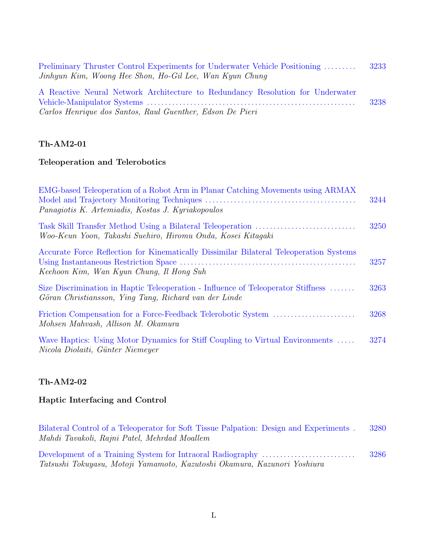| Preliminary Thruster Control Experiments for Underwater Vehicle Positioning    | -3233 |
|--------------------------------------------------------------------------------|-------|
| Jinhyun Kim, Woong Hee Shon, Ho-Gil Lee, Wan Kyun Chung                        |       |
| A Reactive Neural Network Architecture to Redundancy Resolution for Underwater |       |
|                                                                                | 3238  |
| Carlos Henrique dos Santos, Raul Guenther, Edson De Pieri                      |       |

#### **Teleoperation and Telerobotics**

| EMG-based Teleoperation of a Robot Arm in Planar Catching Movements using ARMAX<br>Panagiotis K. Artemiadis, Kostas J. Kyriakopoulos       | 3244 |
|--------------------------------------------------------------------------------------------------------------------------------------------|------|
| Woo-Keun Yoon, Takashi Suehiro, Hiromu Onda, Kosei Kitaqaki                                                                                | 3250 |
| Accurate Force Reflection for Kinematically Dissimilar Bilateral Teleoperation Systems<br>Keehoon Kim, Wan Kyun Chung, Il Hong Suh         | 3257 |
| Size Discrimination in Haptic Teleoperation - Influence of Teleoperator Stiffness<br>Göran Christiansson, Ying Tang, Richard van der Linde | 3263 |
| Mohsen Mahvash, Allison M. Okamura                                                                                                         | 3268 |
| Wave Haptics: Using Motor Dynamics for Stiff Coupling to Virtual Environments<br>Nicola Diolaiti, Günter Niemeyer                          | 3274 |

#### **Th-AM2-02**

#### **Haptic Interfacing and Control**

| Bilateral Control of a Teleoperator for Soft Tissue Palpation: Design and Experiments. | 3280 |
|----------------------------------------------------------------------------------------|------|
| Mahdi Tavakoli, Rajni Patel, Mehrdad Moallem                                           |      |
|                                                                                        | 3286 |

Tatsushi Tokuyasu, Motoji Yamamoto, Kazutoshi Okamura, Kazunori Yoshiura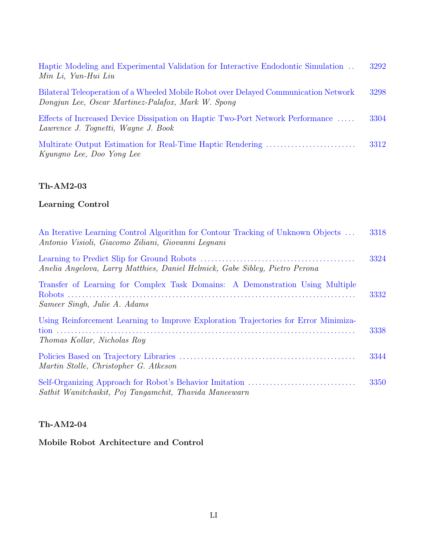| Haptic Modeling and Experimental Validation for Interactive Endodontic Simulation<br>Min Li, Yun-Hui Liu                                   | 3292 |
|--------------------------------------------------------------------------------------------------------------------------------------------|------|
| Bilateral Teleoperation of a Wheeled Mobile Robot over Delayed Communication Network<br>Dongjun Lee, Oscar Martinez-Palafox, Mark W. Spong | 3298 |
| Effects of Increased Device Dissipation on Haptic Two-Port Network Performance<br>Lawrence J. Tognetti, Wayne J. Book                      | 3304 |
| Kyungno Lee, Doo Yong Lee                                                                                                                  | 3312 |

### **Learning Control**

| An Iterative Learning Control Algorithm for Contour Tracking of Unknown Objects<br>Antonio Visioli, Giacomo Ziliani, Giovanni Lequani | 3318 |
|---------------------------------------------------------------------------------------------------------------------------------------|------|
| Anelia Angelova, Larry Matthies, Daniel Helmick, Gabe Sibley, Pietro Perona                                                           | 3324 |
| Transfer of Learning for Complex Task Domains: A Demonstration Using Multiple<br>Sameer Singh, Julie A. Adams                         | 3332 |
| Using Reinforcement Learning to Improve Exploration Trajectories for Error Minimiza-<br><i>Thomas Kollar, Nicholas Roy</i>            | 3338 |
| Martin Stolle, Christopher G. Atkeson                                                                                                 | 3344 |
| Sathit Wanitchaikit, Poj Tangamchit, Thavida Maneewarn                                                                                | 3350 |

### **Th-AM2-04**

## **Mobile Robot Architecture and Control**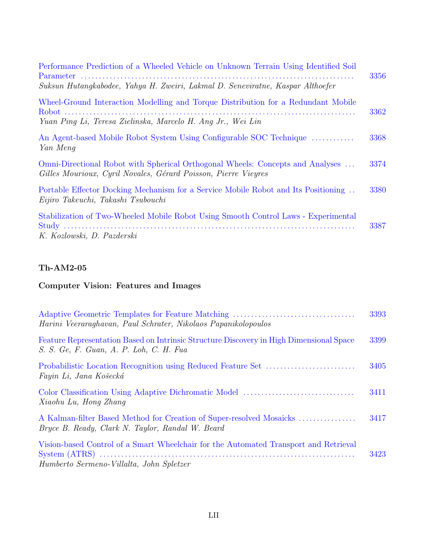| Performance Prediction of a Wheeled Vehicle on Unknown Terrain Using Identified Soil                                                             | 3356 |
|--------------------------------------------------------------------------------------------------------------------------------------------------|------|
| Suksun Hutangkabodee, Yahya H. Zweiri, Lakmal D. Seneviratne, Kaspar Althoefer                                                                   |      |
| Wheel-Ground Interaction Modelling and Torque Distribution for a Redundant Mobile                                                                | 3362 |
| Yuan Ping Li, Teresa Zielinska, Marcelo H. Ang Jr., Wei Lin                                                                                      |      |
| An Agent-based Mobile Robot System Using Configurable SOC Technique<br>Yan Meng                                                                  | 3368 |
| Omni-Directional Robot with Spherical Orthogonal Wheels: Concepts and Analyses<br>Gilles Mourioux, Cyril Novales, Gérard Poisson, Pierre Vieyres | 3374 |
| Portable Effector Docking Mechanism for a Service Mobile Robot and Its Positioning<br>Eijiro Takeuchi, Takashi Tsubouchi                         | 3380 |
| Stabilization of Two-Wheeled Mobile Robot Using Smooth Control Laws - Experimental<br>K. Kozlowski, D. Pazderski                                 | 3387 |

# **Computer Vision: Features and Images**

| Harini Veeraraghavan, Paul Schrater, Nikolaos Papanikolopoulos                                                                     | 3393 |
|------------------------------------------------------------------------------------------------------------------------------------|------|
| Feature Representation Based on Intrinsic Structure Discovery in High Dimensional Space<br>S. S. Ge, F. Guan, A. P. Loh, C. H. Fua | 3399 |
| Fayin Li, Jana Košecká                                                                                                             | 3405 |
| Xiaohu Lu, Hong Zhang                                                                                                              | 3411 |
| A Kalman-filter Based Method for Creation of Super-resolved Mosaicks<br>Bryce B. Ready, Clark N. Taylor, Randal W. Beard           | 3417 |
| Vision-based Control of a Smart Wheelchair for the Automated Transport and Retrieval<br>Humberto Sermeno-Villalta, John Spletzer   | 3423 |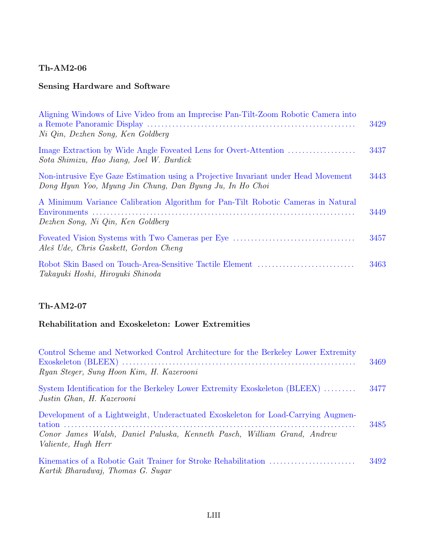### **Sensing Hardware and Software**

| Aligning Windows of Live Video from an Imprecise Pan-Tilt-Zoom Robotic Camera into<br>Ni Qin, Dezhen Song, Ken Goldberg                        | 3429 |
|------------------------------------------------------------------------------------------------------------------------------------------------|------|
| Sota Shimizu, Hao Jiang, Joel W. Burdick                                                                                                       | 3437 |
| Non-intrusive Eye Gaze Estimation using a Projective Invariant under Head Movement<br>Dong Hyun Yoo, Myung Jin Chung, Dan Byung Ju, In Ho Choi | 3443 |
| A Minimum Variance Calibration Algorithm for Pan-Tilt Robotic Cameras in Natural<br>Dezhen Song, Ni Qin, Ken Goldberg                          | 3449 |
| Aleš Ude, Chris Gaskett, Gordon Cheng                                                                                                          | 3457 |
| Takayuki Hoshi, Hiroyuki Shinoda                                                                                                               | 3463 |

### **Th-AM2-07**

### **Rehabilitation and Exoskeleton: Lower Extremities**

| Control Scheme and Networked Control Architecture for the Berkeley Lower Extremity<br>Ryan Steger, Sung Hoon Kim, H. Kazerooni                                                             | 3469 |
|--------------------------------------------------------------------------------------------------------------------------------------------------------------------------------------------|------|
| System Identification for the Berkeley Lower Extremity Exoskeleton (BLEEX)<br>Justin Ghan, H. Kazerooni                                                                                    | 3477 |
| Development of a Lightweight, Underactuated Exoskeleton for Load-Carrying Augmen-<br>Conor James Walsh, Daniel Paluska, Kenneth Pasch, William Grand, Andrew<br><i>Valiente, Hugh Herr</i> | 3485 |
| Kartik Bharadwaj, Thomas G. Sugar                                                                                                                                                          | 3492 |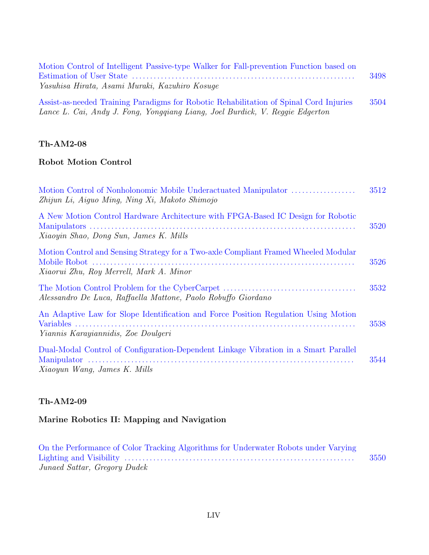| Motion Control of Intelligent Passive-type Walker for Fall-prevention Function based on |      |
|-----------------------------------------------------------------------------------------|------|
|                                                                                         | 3498 |
| Yasuhisa Hirata, Asami Muraki, Kazuhiro Kosuge                                          |      |
| Assist-as-needed Training Paradigms for Robotic Rehabilitation of Spinal Cord Injuries  | 3504 |

|  |  |  | λιδείδυ αδ ποσιού τι απίπης ται ασίχιπε τοι τι συστό τι οι αυτασπιτάτιση σε πρίπαι σύτσ τη μιτί |  |  |
|--|--|--|-------------------------------------------------------------------------------------------------|--|--|
|  |  |  | Lance L. Cai, Andy J. Fong, Yongqiang Liang, Joel Burdick, V. Reggie Edgerton                   |  |  |

#### **Robot Motion Control**

| Motion Control of Nonholonomic Mobile Underactuated Manipulator<br>Zhijun Li, Aiguo Ming, Ning Xi, Makoto Shimojo              | 3512 |
|--------------------------------------------------------------------------------------------------------------------------------|------|
| A New Motion Control Hardware Architecture with FPGA-Based IC Design for Robotic<br>Xiaoyin Shao, Dong Sun, James K. Mills     | 3520 |
| Motion Control and Sensing Strategy for a Two-axle Compliant Framed Wheeled Modular<br>Xiaorui Zhu, Roy Merrell, Mark A. Minor | 3526 |
| Alessandro De Luca, Raffaella Mattone, Paolo Robuffo Giordano                                                                  | 3532 |
| An Adaptive Law for Slope Identification and Force Position Regulation Using Motion<br>Yiannis Karayiannidis, Zoe Doulgeri     | 3538 |
| Dual-Modal Control of Configuration-Dependent Linkage Vibration in a Smart Parallel<br>Xiaoyun Wang, James K. Mills            | 3544 |

### **Th-AM2-09**

### **Marine Robotics II: Mapping and Navigation**

| On the Performance of Color Tracking Algorithms for Underwater Robots under Varying |      |
|-------------------------------------------------------------------------------------|------|
|                                                                                     | 3550 |
| Junaed Sattar, Gregory Dudek                                                        |      |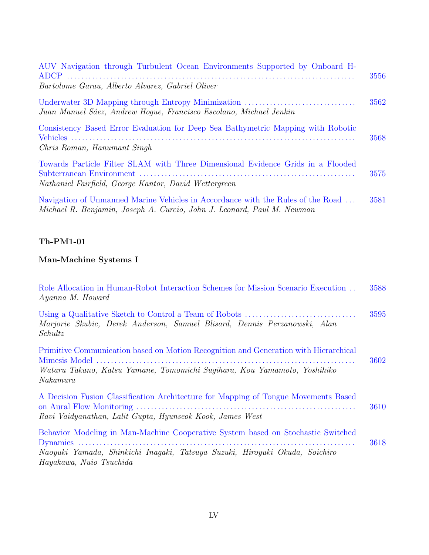| AUV Navigation through Turbulent Ocean Environments Supported by Onboard H                                                                                | 3556 |
|-----------------------------------------------------------------------------------------------------------------------------------------------------------|------|
| Bartolome Garau, Alberto Alvarez, Gabriel Oliver                                                                                                          |      |
| Juan Manuel Sáez, Andrew Hogue, Francisco Escolano, Michael Jenkin                                                                                        | 3562 |
| Consistency Based Error Evaluation for Deep Sea Bathymetric Mapping with Robotic<br>Chris Roman, Hanumant Singh                                           | 3568 |
| Towards Particle Filter SLAM with Three Dimensional Evidence Grids in a Flooded<br>Nathaniel Fairfield, George Kantor, David Wettergreen                  | 3575 |
| Navigation of Unmanned Marine Vehicles in Accordance with the Rules of the Road<br>Michael R. Benjamin, Joseph A. Curcio, John J. Leonard, Paul M. Newman | 3581 |

# **Man-Machine Systems I**

| Role Allocation in Human-Robot Interaction Schemes for Mission Scenario Execution<br>Ayanna M. Howard                                                                                      | 3588 |
|--------------------------------------------------------------------------------------------------------------------------------------------------------------------------------------------|------|
| Marjorie Skubic, Derek Anderson, Samuel Blisard, Dennis Perzanowski, Alan<br>Schultz                                                                                                       | 3595 |
| Primitive Communication based on Motion Recognition and Generation with Hierarchical<br>Wataru Takano, Katsu Yamane, Tomomichi Sugihara, Kou Yamamoto, Yoshihiko<br>Nakamura               | 3602 |
| A Decision Fusion Classification Architecture for Mapping of Tongue Movements Based<br>Ravi Vaidyanathan, Lalit Gupta, Hyunseok Kook, James West                                           | 3610 |
| Behavior Modeling in Man-Machine Cooperative System based on Stochastic Switched<br>Naoyuki Yamada, Shinkichi Inagaki, Tatsuya Suzuki, Hiroyuki Okuda, Soichiro<br>Hayakawa, Nuio Tsuchida | 3618 |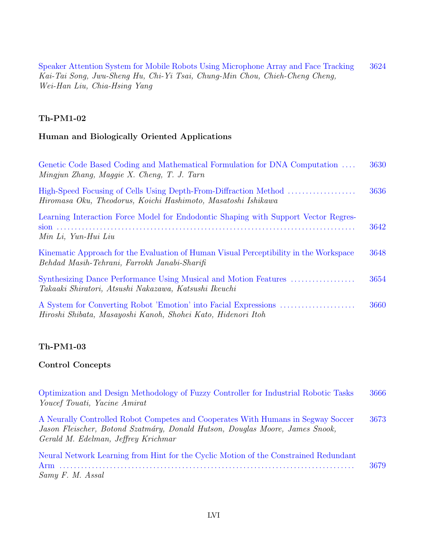Speaker Attention System for Mobile Robots Using Microphone Array and Face Tracking 3624 Kai-Tai Song, Jwu-Sheng Hu, Chi-Yi Tsai, Chung-Min Chou, Chieh-Cheng Cheng, Wei-Han Liu, Chia-Hsing Yang

#### **Th-PM1-02**

#### **Human and Biologically Oriented Applications**

| Genetic Code Based Coding and Mathematical Formulation for DNA Computation<br>Mingjun Zhang, Maggie X. Cheng, T. J. Tarn              | 3630 |
|---------------------------------------------------------------------------------------------------------------------------------------|------|
| High-Speed Focusing of Cells Using Depth-From-Diffraction Method<br>Hiromasa Oku, Theodorus, Koichi Hashimoto, Masatoshi Ishikawa     | 3636 |
| Learning Interaction Force Model for Endodontic Shaping with Support Vector Regres-<br>Min Li, Yun-Hui Liu                            | 3642 |
| Kinematic Approach for the Evaluation of Human Visual Perceptibility in the Workspace<br>Behdad Masih-Tehrani, Farrokh Janabi-Sharifi | 3648 |
| Synthesizing Dance Performance Using Musical and Motion Features<br>Takaaki Shiratori, Atsushi Nakazawa, Katsushi Ikeuchi             | 3654 |
| Hiroshi Shibata, Masayoshi Kanoh, Shohei Kato, Hidenori Itoh                                                                          | 3660 |

#### **Th-PM1-03**

#### **Control Concepts**

Optimization and Design Methodology of Fuzzy Controller for Industrial Robotic Tasks 3666 Youcef Touati, Yacine Amirat

A Neurally Controlled Robot Competes and Cooperates With Humans in Segway Soccer 3673 Jason Fleischer, Botond Szatmáry, Donald Hutson, Douglas Moore, James Snook, Gerald M. Edelman, Jeffrey Krichmar

Neural Network Learning from Hint for the Cyclic Motion of the Constrained Redundant Arm . . . . . . . . . . . . . . . . . . . . . . . . . . . . . . . . . . . . . . . . . . . . . . . . . . . . . . . . . . . . . . . . . . . . . . . . . . . . . . . . . . 3679 Samy F. M. Assal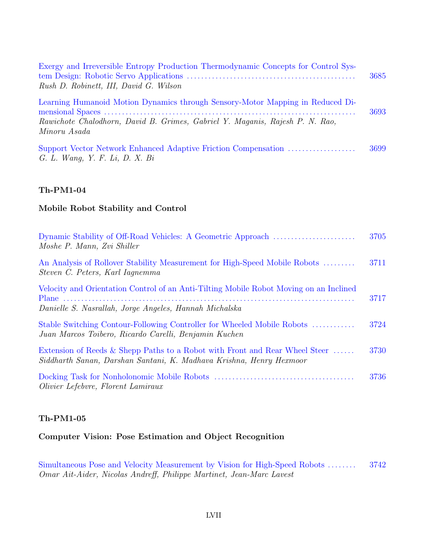| Exergy and Irreversible Entropy Production Thermodynamic Concepts for Control Sys-<br>Rush D. Robinett, III, David G. Wilson                                                   | 3685 |
|--------------------------------------------------------------------------------------------------------------------------------------------------------------------------------|------|
| Learning Humanoid Motion Dynamics through Sensory-Motor Mapping in Reduced Di-<br>Rawichote Chalodhorn, David B. Grimes, Gabriel Y. Maganis, Rajesh P. N. Rao,<br>Minoru Asada | 3693 |
| Support Vector Network Enhanced Adaptive Friction Compensation<br>G. L. Wang, Y. F. Li, D. X. Bi                                                                               | 3699 |

#### **Mobile Robot Stability and Control**

| Moshe P. Mann, Zvi Shiller                                                                                                                         | 3705 |
|----------------------------------------------------------------------------------------------------------------------------------------------------|------|
| An Analysis of Rollover Stability Measurement for High-Speed Mobile Robots<br>Steven C. Peters, Karl Iagnemma                                      | 3711 |
| Velocity and Orientation Control of an Anti-Tilting Mobile Robot Moving on an Inclined<br>Danielle S. Nasrallah, Jorge Angeles, Hannah Michalska   | 3717 |
| Stable Switching Contour-Following Controller for Wheeled Mobile Robots<br>Juan Marcos Toibero, Ricardo Carelli, Benjamin Kuchen                   | 3724 |
| Extension of Reeds & Shepp Paths to a Robot with Front and Rear Wheel Steer<br>Siddharth Sanan, Darshan Santani, K. Madhava Krishna, Henry Hexmoor | 3730 |
| Olivier Lefebvre, Florent Lamiraux                                                                                                                 | 3736 |

#### **Th-PM1-05**

### **Computer Vision: Pose Estimation and Object Recognition**

Simultaneous Pose and Velocity Measurement by Vision for High-Speed Robots . . . . . . . . 3742 Omar Ait-Aider, Nicolas Andreff, Philippe Martinet, Jean-Marc Lavest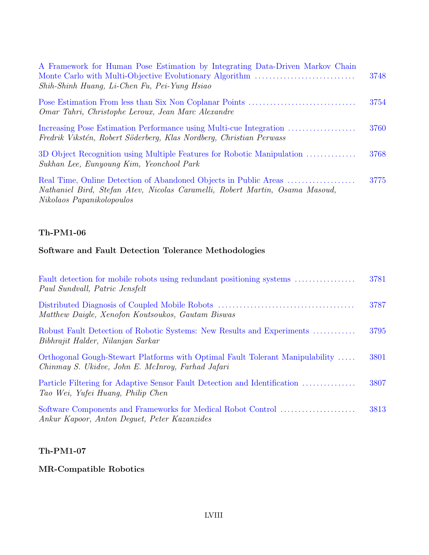| A Framework for Human Pose Estimation by Integrating Data-Driven Markov Chain<br>Shih-Shinh Huang, Li-Chen Fu, Pei-Yung Hsiao                                                 | 3748 |
|-------------------------------------------------------------------------------------------------------------------------------------------------------------------------------|------|
| Omar Tahri, Christophe Leroux, Jean Marc Alexandre                                                                                                                            | 3754 |
| Fredrik Vikstén, Robert Söderberg, Klas Nordberg, Christian Perwass                                                                                                           | 3760 |
| 3D Object Recognition using Multiple Features for Robotic Manipulation<br>Sukhan Lee, Eunyoung Kim, Yeonchool Park                                                            | 3768 |
| Real Time, Online Detection of Abandoned Objects in Public Areas<br>Nathaniel Bird, Stefan Atev, Nicolas Caramelli, Robert Martin, Osama Masoud,<br>Nikolaos Papanikolopoulos | 3775 |

### **Software and Fault Detection Tolerance Methodologies**

| Fault detection for mobile robots using redundant positioning systems<br>Paul Sundvall, Patric Jensfelt                            | 3781 |
|------------------------------------------------------------------------------------------------------------------------------------|------|
| Matthew Daigle, Xenofon Koutsoukos, Gautam Biswas                                                                                  | 3787 |
| Robust Fault Detection of Robotic Systems: New Results and Experiments<br>Bibhrajit Halder, Nilanjan Sarkar                        | 3795 |
| Orthogonal Gough-Stewart Platforms with Optimal Fault Tolerant Manipulability<br>Chinmay S. Ukidve, John E. McInroy, Farhad Jafari | 3801 |
| Particle Filtering for Adaptive Sensor Fault Detection and Identification<br>Tao Wei, Yufei Huang, Philip Chen                     | 3807 |
| Software Components and Frameworks for Medical Robot Control<br>Ankur Kapoor, Anton Dequet, Peter Kazanzides                       | 3813 |

#### **Th-PM1-07**

### **MR-Compatible Robotics**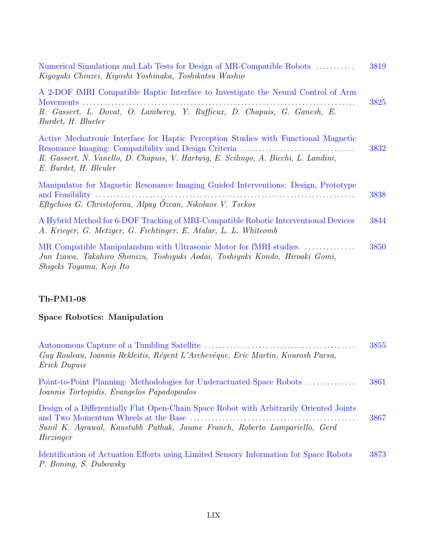| Numerical Simulations and Lab Tests for Design of MR-Compatible Robots<br>Kiyoyuki Chinzei, Kiyoshi Yoshinaka, Toshikatsu Washio                                                                    | 3819 |
|-----------------------------------------------------------------------------------------------------------------------------------------------------------------------------------------------------|------|
| A 2-DOF fMRI Compatible Haptic Interface to Investigate the Neural Control of Arm<br>R. Gassert, L. Dovat, O. Lambercy, Y. Ruffieux, D. Chapuis, G. Ganesh, E.<br>Burdet, H. Blueler                | 3825 |
| Active Mechatronic Interface for Haptic Perception Studies with Functional Magnetic<br>R. Gassert, N. Vanello, D. Chapuis, V. Hartwig, E. Scilingo, A. Bicchi, L. Landini,<br>E. Burdet, H. Bleuler | 3832 |
| Manipulator for Magnetic Resonance Imaging Guided Interventions: Design, Prototype                                                                                                                  | 3838 |
| Eftychios G. Christoforou, Alpay Ozcan, Nikolaos V. Tsekos                                                                                                                                          |      |
| A Hybrid Method for 6-DOF Tracking of MRI-Compatible Robotic Interventional Devices<br>A. Krieger, G. Metzger, G. Fichtinger, E. Atalar, L. L. Whitcomb                                             | 3844 |
| MR Compatible Manipulandum with Ultrasonic Motor for fMRI studies.<br>Jun Izawa, Takahiro Shimizu, Toshiyuki Aodai, Toshiyuki Kondo, Hiroaki Gomi,<br>Shigeki Toyama, Koji Ito                      | 3850 |

# **Space Robotics: Manipulation**

| Guy Rouleau, Ioannis Rekleitis, Régent L'Archevêque, Eric Martin, Kourosh Parsa,<br><i>Erick Dupuis</i>                                                                            | 3855 |
|------------------------------------------------------------------------------------------------------------------------------------------------------------------------------------|------|
| Point-to-Point Planning: Methodologies for Underactuated Space Robots<br>Ioannis Tortopidis, Evangelos Papadopoulos                                                                | 3861 |
| Design of a Differentially Flat Open-Chain Space Robot with Arbitrarily Oriented Joints<br>Sunil K. Agrawal, Kaustubh Pathak, Jaume Franch, Roberto Lampariello, Gerd<br>Hirzinger | 3867 |
| Identification of Actuation Efforts using Limited Sensory Information for Space Robots<br>P. Boning, S. Dubowsky                                                                   | 3873 |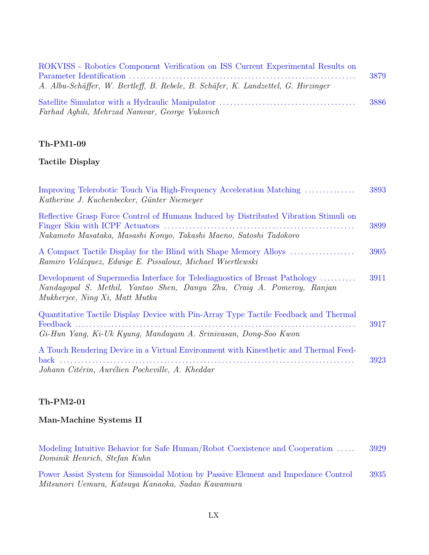| ROKVISS - Robotics Component Verification on ISS Current Experimental Results on  |       |
|-----------------------------------------------------------------------------------|-------|
|                                                                                   | 3879  |
| A. Albu-Schäffer, W. Bertleff, B. Rebele, B. Schäfer, K. Landzettel, G. Hirzinger |       |
|                                                                                   | -3886 |
| Farhad Aghili, Mehrzad Namvar, George Vukovich                                    |       |

#### **Tactile Display**

| Improving Telerobotic Touch Via High-Frequency Acceleration Matching<br>Katherine J. Kuchenbecker, Günter Niemeyer                                                                      | 3893 |
|-----------------------------------------------------------------------------------------------------------------------------------------------------------------------------------------|------|
| Reflective Grasp Force Control of Humans Induced by Distributed Vibration Stimuli on<br>Nakamoto Masataka, Masashi Konyo, Takashi Maeno, Satoshi Tadokoro                               | 3899 |
| A Compact Tactile Display for the Blind with Shape Memory Alloys<br>Ramiro Velázquez, Edwige E. Pissaloux, Michael Wiertlewski                                                          | 3905 |
| Development of Supermedia Interface for Telediagnostics of Breast Pathology<br>Nandagopal S. Methil, Yantao Shen, Danyu Zhu, Craig A. Pomeroy, Ranjan<br>Mukherjee, Ning Xi, Matt Mutka | 3911 |
| Quantitative Tactile Display Device with Pin-Array Type Tactile Feedback and Thermal<br>Gi-Hun Yang, Ki-Uk Kyung, Mandayam A. Srinivasan, Dong-Soo Kwon                                 | 3917 |
| A Touch Rendering Device in a Virtual Environment with Kinesthetic and Thermal Feed-<br>Johann Citérin, Aurélien Pocheville, A. Kheddar                                                 | 3923 |

#### **Th-PM2-01**

#### **Man-Machine Systems II**

Modeling Intuitive Behavior for Safe Human/Robot Coexistence and Cooperation ..... 3929 Dominik Henrich, Stefan Kuhn

Power Assist System for Sinusoidal Motion by Passive Element and Impedance Control 3935 Mitsunori Uemura, Katsuya Kanaoka, Sadao Kawamura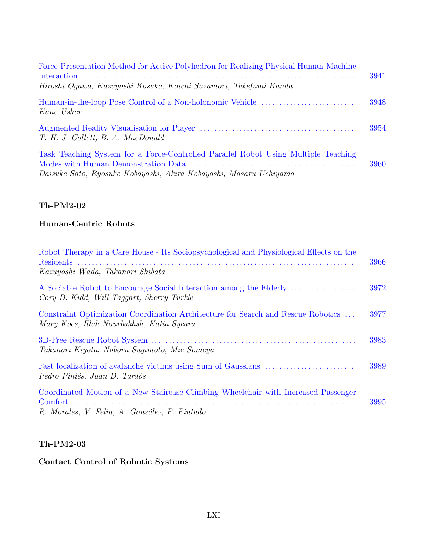| Force-Presentation Method for Active Polyhedron for Realizing Physical Human-Machine<br>Hiroshi Ogawa, Kazuyoshi Kosaka, Koichi Suzumori, Takefumi Kanda | 3941 |
|----------------------------------------------------------------------------------------------------------------------------------------------------------|------|
| Kane Usher                                                                                                                                               | 3948 |
| T. H. J. Collett, B. A. MacDonald                                                                                                                        | 3954 |
| Task Teaching System for a Force-Controlled Parallel Robot Using Multiple Teaching<br>Daisuke Sato, Ryosuke Kobayashi, Akira Kobayashi, Masaru Uchiyama  | 3960 |

### **Human-Centric Robots**

| Robot Therapy in a Care House - Its Sociopsychological and Physiological Effects on the                                             | 3966 |
|-------------------------------------------------------------------------------------------------------------------------------------|------|
| Kazuyoshi Wada, Takanori Shibata                                                                                                    |      |
| A Sociable Robot to Encourage Social Interaction among the Elderly<br>Cory D. Kidd, Will Taggart, Sherry Turkle                     | 3972 |
| Constraint Optimization Coordination Architecture for Search and Rescue Robotics<br>Mary Koes, Illah Nourbakhsh, Katia Sycara       | 3977 |
| Takanori Kiyota, Noboru Suqimoto, Mie Someya                                                                                        | 3983 |
| Pedro Piniés, Juan D. Tardós                                                                                                        | 3989 |
| Coordinated Motion of a New Staircase-Climbing Wheelchair with Increased Passenger<br>R. Morales, V. Feliu, A. González, P. Pintado | 3995 |

### **Th-PM2-03**

### **Contact Control of Robotic Systems**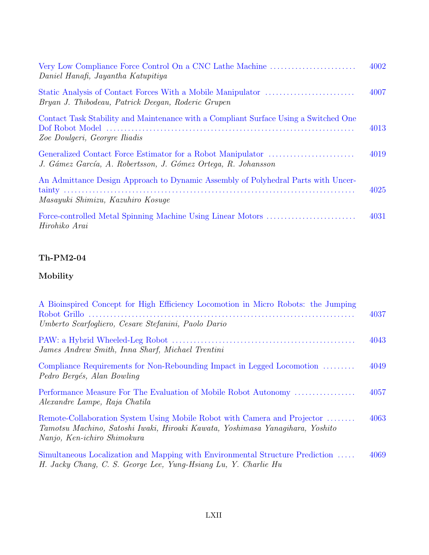| Very Low Compliance Force Control On a CNC Lathe Machine<br>Daniel Hanafi, Jayantha Katupitiya                         | 4002 |
|------------------------------------------------------------------------------------------------------------------------|------|
| Bryan J. Thibodeau, Patrick Deegan, Roderic Grupen                                                                     | 4007 |
| Contact Task Stability and Maintenance with a Compliant Surface Using a Switched One<br>Zoe Doulgeri, Georgre Iliadis  | 4013 |
| J. Gámez García, A. Robertsson, J. Gómez Ortega, R. Johansson                                                          | 4019 |
| An Admittance Design Approach to Dynamic Assembly of Polyhedral Parts with Uncer-<br>Masayuki Shimizu, Kazuhiro Kosuqe | 4025 |
| Hirohiko Arai                                                                                                          | 4031 |

# **Mobility**

| A Bioinspired Concept for High Efficiency Locomotion in Micro Robots: the Jumping                                                                                                        | 4037 |
|------------------------------------------------------------------------------------------------------------------------------------------------------------------------------------------|------|
| Umberto Scarfogliero, Cesare Stefanini, Paolo Dario                                                                                                                                      |      |
| James Andrew Smith, Inna Sharf, Michael Trentini                                                                                                                                         | 4043 |
| Compliance Requirements for Non-Rebounding Impact in Legged Locomotion<br>Pedro Bergés, Alan Bowling                                                                                     | 4049 |
| Performance Measure For The Evaluation of Mobile Robot Autonomy<br>Alexandre Lampe, Raja Chatila                                                                                         | 4057 |
| Remote-Collaboration System Using Mobile Robot with Camera and Projector<br>Tamotsu Machino, Satoshi Iwaki, Hiroaki Kawata, Yoshimasa Yanaqihara, Yoshito<br>Nanjo, Ken-ichiro Shimokura | 4063 |
| Simultaneous Localization and Mapping with Environmental Structure Prediction<br>H. Jacky Chang, C. S. George Lee, Yung-Hsiang Lu, Y. Charlie Hu                                         | 4069 |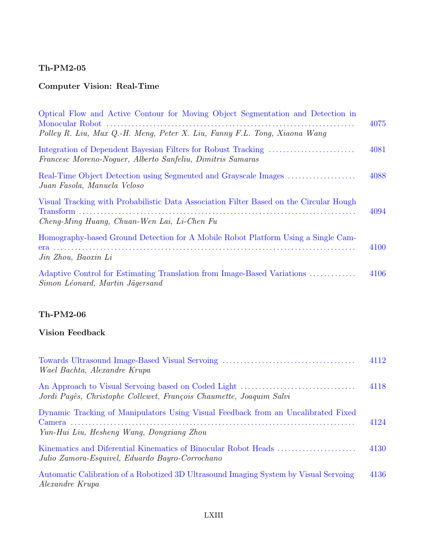# **Computer Vision: Real-Time**

| Optical Flow and Active Contour for Moving Object Segmentation and Detection in<br>Polley R. Liu, Max Q.-H. Meng, Peter X. Liu, Fanny F.L. Tong, Xiaona Wang | 4075 |
|--------------------------------------------------------------------------------------------------------------------------------------------------------------|------|
| Francesc Moreno-Noquer, Alberto Sanfeliu, Dimitris Samaras                                                                                                   | 4081 |
| Real-Time Object Detection using Segmented and Grayscale Images<br>Juan Fasola, Manuela Veloso                                                               | 4088 |
| Visual Tracking with Probabilistic Data Association Filter Based on the Circular Hough<br>Cheng-Ming Huang, Chuan-Wen Lai, Li-Chen Fu                        | 4094 |
| Homography-based Ground Detection for A Mobile Robot Platform Using a Single Cam-<br>Jin Zhou, Baoxin Li                                                     | 4100 |
| Adaptive Control for Estimating Translation from Image-Based Variations<br>Simon Léonard, Martin Jägersand                                                   | 4106 |

## **Th-PM2-06**

#### **Vision Feedback**

| Wael Bachta, Alexandre Krupa                                                                                                   | 4112 |
|--------------------------------------------------------------------------------------------------------------------------------|------|
| Jordi Pagès, Christophe Collewet, François Chaumette, Joaquim Salvi                                                            | 4118 |
| Dynamic Tracking of Manipulators Using Visual Feedback from an Uncalibrated Fixed<br>Yun-Hui Liu, Hesheng Wang, Dongxiang Zhou | 4124 |
| Julio Zamora-Esquivel, Eduardo Bayro-Corrochano                                                                                | 4130 |
| Automatic Calibration of a Robotized 3D Ultrasound Imaging System by Visual Servoing<br><i>Alexandre Krupa</i>                 | 4136 |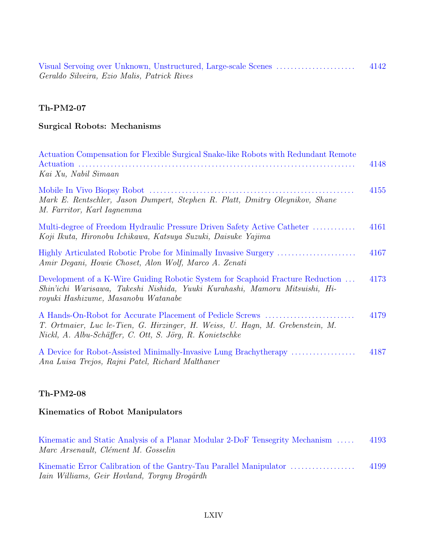Visual Servoing over Unknown, Unstructured, Large-scale Scenes . . . . . . . . . . . . . . . . . . . . . . 4142 Geraldo Silveira, Ezio Malis, Patrick Rives

#### **Th-PM2-07**

### **Surgical Robots: Mechanisms**

| Actuation Compensation for Flexible Surgical Snake-like Robots with Redundant Remote<br>Kai Xu, Nabil Simaan                                                                                           | 4148 |
|--------------------------------------------------------------------------------------------------------------------------------------------------------------------------------------------------------|------|
| Mark E. Rentschler, Jason Dumpert, Stephen R. Platt, Dmitry Oleynikov, Shane<br>M. Farritor, Karl Iagnemma                                                                                             | 4155 |
| Multi-degree of Freedom Hydraulic Pressure Driven Safety Active Catheter<br>Koji Ikuta, Hironobu Ichikawa, Katsuya Suzuki, Daisuke Yajima                                                              | 4161 |
| Amir Degani, Howie Choset, Alon Wolf, Marco A. Zenati                                                                                                                                                  | 4167 |
| Development of a K-Wire Guiding Robotic System for Scaphoid Fracture Reduction<br>Shin'ichi Warisawa, Takeshi Nishida, Yuuki Kurahashi, Mamoru Mitsuishi, Hi-<br>royuki Hashizume, Masanobu Watanabe   | 4173 |
| A Hands-On-Robot for Accurate Placement of Pedicle Screws<br>T. Ortmaier, Luc le-Tien, G. Hirzinger, H. Weiss, U. Hagn, M. Grebenstein, M.<br>Nickl, A. Albu-Schäffer, C. Ott, S. Jörg, R. Konietschke | 4179 |
| Ana Luisa Trejos, Rajni Patel, Richard Malthaner                                                                                                                                                       | 4187 |

#### **Th-PM2-08**

### **Kinematics of Robot Manipulators**

| Kinematic and Static Analysis of a Planar Modular 2-DoF Tensegrity Mechanism | 4193 |
|------------------------------------------------------------------------------|------|
| Marc Arsenault, Clément M. Gosselin                                          |      |
|                                                                              |      |
| Kinematic Error Calibration of the Gantry-Tau Parallel Manipulator           | 4199 |
| <i>Iain Williams, Geir Hovland, Torqny Brogårdh</i>                          |      |